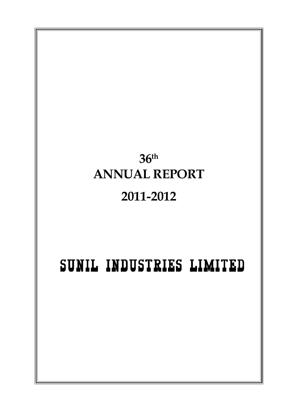# **36th ANNUAL REPORT 2011-2012** SUNIL INDUSTRIES LIMITED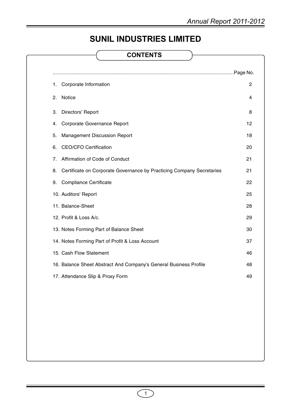# **SUNIL INDUSTRIES LIMITED**

# **CONTENTS**

| Corporate Information<br>1.                                                 | $\overline{c}$ |
|-----------------------------------------------------------------------------|----------------|
| Notice<br>2.                                                                | 4              |
| Directors' Report<br>3.                                                     | 8              |
| Corporate Governance Report<br>4.                                           | 12             |
| <b>Management Discussion Report</b><br>5.                                   | 18             |
| <b>CEO/CFO Certification</b><br>6.                                          | 20             |
| Affirmation of Code of Conduct<br>7.                                        | 21             |
| Certificate on Corporate Governance by Practicing Company Secretaries<br>8. | 21             |
| <b>Compliance Certificate</b><br>9.                                         | 22             |
| 10. Auditors' Report                                                        | 25             |
| 11. Balance-Sheet                                                           | 28             |
| 12. Profit & Loss A/c.                                                      | 29             |
| 13. Notes Forming Part of Balance Sheet                                     | 30             |
| 14. Notes Forming Part of Profit & Loss Account                             | 37             |
| 15. Cash Flow Statement                                                     | 46             |
| 16. Balance Sheet Abstract And Company's General Business Profile           | 48             |
| 17. Attendance Slip & Proxy Form                                            | 49             |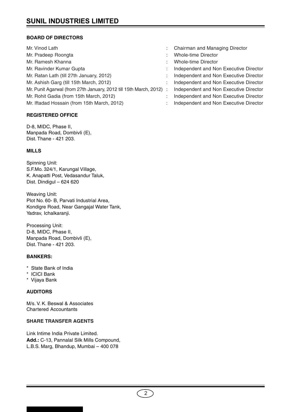# **BOARD OF DIRECTORS**

| Mr. Vinod Lath                                                      | Chairman and Managing Director  |
|---------------------------------------------------------------------|---------------------------------|
| Mr. Pradeep Roongta                                                 | <b>Whole-time Director</b>      |
| Mr. Ramesh Khanna                                                   | Whole-time Director             |
| Mr. Ravinder Kumar Gupta                                            | Independent and Non Executive I |
| Mr. Ratan Lath (till 27th January, 2012)                            | Independent and Non Executive I |
| Mr. Ashish Garg (till 15th March, 2012)                             | Independent and Non Executive I |
| Mr. Punit Agarwal (from 27th January, 2012 till 15th March, 2012) : | Independent and Non Executive I |
| Mr. Rohit Gadia (from 15th March, 2012)                             | Independent and Non Executive I |
| Mr. Iftadad Hossain (from 15th March, 2012)                         | Independent and Non Executive I |

# **REGISTERED OFFICE**

D-8, MIDC, Phase II, Manpada Road, Dombivli (E), Dist. Thane - 421 203.

# **MILLS**

Spinning Unit: S.F.Mo. 324/1, Karungal Village, K. Anapatti Post, Vedasandur Taluk, Dist. Dindigul – 624 620

Weaving Unit: Plot No. 60- B, Parvati Industrial Area, Kondigre Road, Near Gangajal Water Tank, Yadrav, Ichalkaranji.

Processing Unit: D-8, MIDC, Phase II, Manpada Road, Dombivli (E), Dist. Thane - 421 203.

# **BANKERS:**

- \* State Bank of India
- \* ICICI Bank
- \* Vijaya Bank

# **AUDITORS**

M/s. V. K. Beswal & Associates Chartered Accountants

# **SHARE TRANSFER AGENTS**

Link Intime India Private Limited. **Add.:** C-13, Pannalal Silk Mills Compound, L.B.S. Marg, Bhandup, Mumbai – 400 078

- 
- xecutive Director
- xecutive Director
- xecutive Director
- xecutive Director
- xecutive Director
- xecutive Director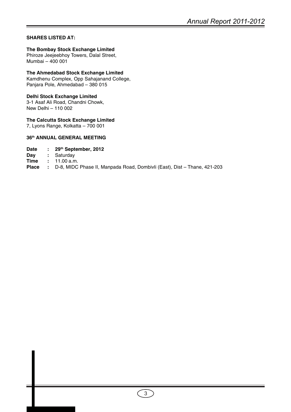# **SHARES LISTED AT:**

# **The Bombay Stock Exchange Limited**

Phiroze Jeejeebhoy Towers, Dalal Street, Mumbai – 400 001

# **The Ahmedabad Stock Exchange Limited**

Kamdhenu Complex, Opp Sahajanand College, Panjara Pole, Ahmedabad – 380 015

# **Delhi Stock Exchange Limited**

3-1 Asaf Ali Road, Chandni Chowk, New Delhi – 110 002

# **The Calcutta Stock Exchange Limited**

7, Lyons Range, Kolkatta – 700 001

# **36th ANNUAL GENERAL MEETING**

| <b>Date</b> |  | 29th September, 2012 |  |  |  |  |
|-------------|--|----------------------|--|--|--|--|
|-------------|--|----------------------|--|--|--|--|

**Day :** Saturday

**Time :** 11.00 a.m.

**Place :** D-8, MIDC Phase II, Manpada Road, Dombivli (East), Dist – Thane, 421-203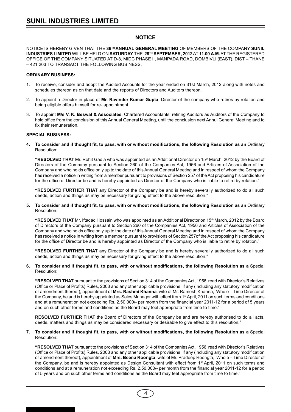# **NOTICE**

NOTICE IS HEREBY GIVEN THAT THE **36TH ANNUAL GENERAL MEETING** OF MEMBERS OF THE COMPANY **SUNIL INDUSTRIES LIMITED** WILL BE HELD ON **SATURDAY** THE **29TH SEPTEMBER, 2012** AT **11.00 A.M.** AT THE REGISTERED OFFICE OF THE COMPANY SITUATED AT D-8, MIDC PHASE II, MANPADA ROAD, DOMBIVLI (EAST), DIST – THANE – 421 203 TO TRANSACT THE FOLLOWING BUSINESS.

#### **ORDINARY BUSINESS:**

- 1. To receive, consider and adopt the Audited Accounts for the year ended on 31st March, 2012 along with notes and schedules thereon as on that date and the reports of Directors and Auditors thereon.
- 2. To appoint a Director in place of **Mr. Ravinder Kumar Gupta**, Director of the company who retires by rotation and being eligible offers himself for re- appointment.
- 3. To appoint **M/s V. K. Beswal & Associates**, Chartered Accountants, retiring Auditors as Auditors of the Company to hold office from the conclusion of this Annual General Meeting, until the conclusion next Annul General Meeting and to fix their remuneration.

#### **SPECIAL BUSINESS:**

**4. To consider and if thought fit, to pass, with or without modifications, the following Resolution as an** Ordinary Resolution:

**"RESOLVED THAT** Mr. Rohit Gadia who was appointed as an Additional Director on 15th March, 2012 by the Board of Directors of the Company pursuant to Section 260 of the Companies Act, 1956 and Articles of Association of the Company and who holds office only up to the date of this Annual General Meeting and in respect of whom the Company has received a notice in writing from a member pursuant to provisions of Section 257 of the Act proposing his candidature for the office of Director be and is hereby appointed as Director of the Company who is liable to retire by rotation."

**"RESOLVED FURTHER THAT** any Director of the Company be and is hereby severally authorized to do all such deeds, action and things as may be necessary for giving effect to the above resolution."

**5. To consider and if thought fit, to pass, with or without modifications, the following Resolution as an** Ordinary Resolution:

"RESOLVED THAT Mr. Iftadad Hossain who was appointed as an Additional Director on 15<sup>th</sup> March, 2012 by the Board of Directors of the Company pursuant to Section 260 of the Companies Act, 1956 and Articles of Association of the Company and who holds office only up to the date of this Annual General Meeting and in respect of whom the Company has received a notice in writing from a member pursuant to provisions of Section 257of the Act proposing his candidature for the office of Director be and is hereby appointed as Director of the Company who is liable to retire by rotation."

**"RESOLVED FURTHER THAT** any Director of the Company be and is hereby severally authorized to do all such deeds, action and things as may be necessary for giving effect to the above resolution."

**6. To consider and if thought fit, to pass, with or without modifications, the following Resolution as a** Special Resolution:

**"RESOLVED THAT** pursuant to the provisions of Section 314 of the Companies Act, 1956 read with Director's Relatives (Office or Place of Profits) Rules, 2003 and any other applicable provisions, if any (including any statutory modification or amendment thereof), appointment of **Mrs. Rashmi Khanna**, wife of Mr. Ramesh Khanna, Whole – Time Director of the Company, be and is hereby appointed as Sales Manager with effect from 1<sup>st</sup> April, 2011 on such terms and conditions and at a remuneration not exceeding Rs. 2,50,000/- per month from the financial year 2011-12 for a period of 5 years and on such other terms and conditions as the Board may feel appropriate from time to time."

**RESOLVED FURTHER THAT** the Board of Directors of the Company be and are hereby authorised to do all acts, deeds, matters and things as may be considered necessary or desirable to give effect to this resolution."

#### **7. To consider and if thought fit, to pass, with or without modifications, the following Resolution as a** Special Resolution:

**"RESOLVED THAT** pursuant to the provisions of Section 314 of the Companies Act, 1956 read with Director's Relatives (Office or Place of Profits) Rules, 2003 and any other applicable provisions, if any (including any statutory modification or amendment thereof), appointment of **Mrs. Beena Roongta**, wife of Mr. Pradeep Roongta, Whole – Time Director of the Company, be and is hereby appointed as Design Consultant with effect from 1<sup>st</sup> April, 2011 on such terms and conditions and at a remuneration not exceeding Rs. 2,50,000/- per month from the financial year 2011-12 for a period of 5 years and on such other terms and conditions as the Board may feel appropriate from time to time."

4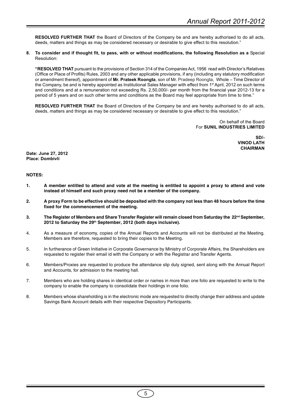**RESOLVED FURTHER THAT** the Board of Directors of the Company be and are hereby authorised to do all acts, deeds, matters and things as may be considered necessary or desirable to give effect to this resolution."

#### **8. To consider and if thought fit, to pass, with or without modifications, the following Resolution as a** Special Resolution:

**"RESOLVED THAT** pursuant to the provisions of Section 314 of the Companies Act, 1956 read with Director's Relatives (Office or Place of Profits) Rules, 2003 and any other applicable provisions, if any (including any statutory modification or amendment thereof), appointment of **Mr. Prateek Roongta**, son of Mr. Pradeep Roongta, Whole – Time Director of the Company, be and is hereby appointed as Institutional Sales Manager with effect from 1<sup>st</sup> April, 2012 on such terms and conditions and at a remuneration not exceeding Rs. 2,50,000/- per month from the financial year 2012-13 for a period of 5 years and on such other terms and conditions as the Board may feel appropriate from time to time."

**RESOLVED FURTHER THAT** the Board of Directors of the Company be and are hereby authorised to do all acts, deeds, matters and things as may be considered necessary or desirable to give effect to this resolution."

> On behalf of the Board For **SUNIL INDUSTRIES LIMITED**

> > **SD/- VINOD LATH CHAIRMAN**

**Date: June 27, 2012 Place: Dombivli**

# **NOTES:**

- **1. A member entitled to attend and vote at the meeting is entitled to appoint a proxy to attend and vote instead of himself and such proxy need not be a member of the company.**
- **2. A proxy Form to be effective should be deposited with the company not less than 48 hours before the time fixed for the commencement of the meeting.**
- **3. The Register of Members and Share Transfer Register will remain closed from Saturday the 22nd September,** 2012 to Saturday the 29<sup>th</sup> September, 2012 (both days inclusive).
- 4. As a measure of economy, copies of the Annual Reports and Accounts will not be distributed at the Meeting. Members are therefore, requested to bring their copies to the Meeting.
- 5. In furtherance of Green Initiative in Corporate Governance by Ministry of Corporate Affairs, the Shareholders are requested to register their email id with the Company or with the Registrar and Transfer Agents.
- 6. Members/Proxies are requested to produce the attendance slip duly signed, sent along with the Annual Report and Accounts, for admission to the meeting hall.
- 7. Members who are holding shares in identical order or names in more than one folio are requested to write to the company to enable the company to consolidate their holdings in one folio.
- 8. Members whose shareholding is in the electronic mode are requested to directly change their address and update Savings Bank Account details with their respective Depository Participants.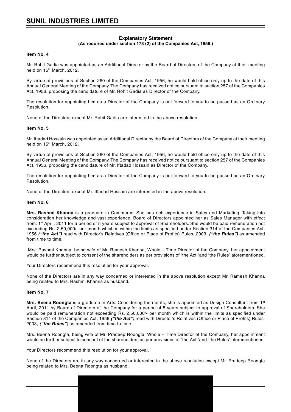#### **Explanatory Statement (As required under section 173 (2) of the Companies Act, 1956.)**

#### **Item No. 4**

Mr. Rohit Gadia was appointed as an Additional Director by the Board of Directors of the Company at their meeting held on 15<sup>th</sup> March, 2012.

By virtue of provisions of Section 260 of the Companies Act, 1956, he would hold office only up to the date of this Annual General Meeting of the Company. The Company has received notice pursuant to section 257 of the Companies Act, 1956, proposing the candidature of Mr. Rohit Gadia as Director of the Company.

The resolution for appointing him as a Director of the Company is put forward to you to be passed as an Ordinary Resolution.

None of the Directors except Mr. Rohit Gadia are interested in the above resolution.

#### **Item No. 5**

Mr. Iftadad Hossain was appointed as an Additional Director by the Board of Directors of the Company at their meeting held on 15<sup>th</sup> March, 2012.

By virtue of provisions of Section 260 of the Companies Act, 1956, he would hold office only up to the date of this Annual General Meeting of the Company. The Company has received notice pursuant to section 257 of the Companies Act, 1956, proposing the candidature of Mr. Iftadad Hossain as Director of the Company.

The resolution for appointing him as a Director of the Company is put forward to you to be passed as an Ordinary Resolution.

None of the Directors except Mr. Iftadad Hossain are interested in the above resolution.

#### **Item No. 6**

**Mrs. Rashmi Khanna** is a graduate in Commerce. She has rich experience in Sales and Marketing. Taking into consideration her knowledge and vast experience, Board of Directors appointed her as Sales Manager with effect from. 1st April, 2011 for a period of 5 years subject to approval of Shareholders. She would be paid remuneration not exceeding Rs. 2,50,000/- per month which is within the limits as specified under Section 314 of the Companies Act, 1956 **("the Act")** read with Director's Relatives (Office or Place of Profits) Rules, 2003, **("the Rules")** as amended from time to time.

 Mrs. Rashmi Khanna, being wife of Mr. Ramesh Khanna, Whole – Time Director of the Company, her appointment would be further subject to consent of the shareholders as per provisions of "the Act "and "the Rules" aforementioned.

Your Directors recommend this resolution for your approval.

None of the Directors are in any way concerned or interested in the above resolution except Mr. Ramesh Khanna being related to Mrs. Rashmi Khanna as husband.

#### **Item No. 7**

**Mrs. Beena Roongta** is a graduate in Arts. Considering the merits, she is appointed as Design Consultant from 1st April, 2011 by Board of Directors of the Company for a period of 5 years subject to approval of Shareholders. She would be paid remuneration not exceeding Rs. 2,50,000/- per month which is within the limits as specified under Section 314 of the Companies Act, 1956 **("the Act")** read with Director's Relatives (Office or Place of Profits) Rules, 2003, **("the Rules")** as amended from time to time.

Mrs. Beena Roongta, being wife of Mr. Pradeep Roongta, Whole – Time Director of the Company, her appointment would be further subject to consent of the shareholders as per provisions of "the Act "and "the Rules" aforementioned.

Your Directors recommend this resolution for your approval.

None of the Directors are in any way concerned or interested in the above resolution except Mr. Pradeep Roongta being related to Mrs. Beena Roongta as husband.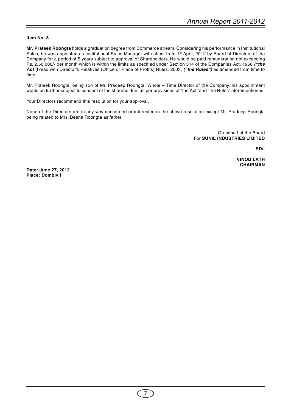# **Item No. 8**

**Mr. Prateek Roongta** holds a graduation degree from Commerce stream. Considering his performance in Institutional Sales, he was appointed as Institutional Sales Manager with effect from 1<sup>st</sup> April, 2012 by Board of Directors of the Company for a period of 5 years subject to approval of Shareholders. He would be paid remuneration not exceeding Rs. 2,50,000/- per month which is within the limits as specified under Section 314 of the Companies Act, 1956 **("the Act")** read with Director's Relatives (Office or Place of Profits) Rules, 2003, **("the Rules")** as amended from time to time.

Mr. Prateek Roongta, being son of Mr. Pradeep Roongta, Whole – Time Director of the Company, his appointment would be further subject to consent of the shareholders as per provisions of "the Act "and "the Rules" aforementioned.

Your Directors recommend this resolution for your approval.

None of the Directors are in any way concerned or interested in the above resolution except Mr. Pradeep Roongta being related to Mrs. Beena Roongta as father.

> On behalf of the Board For **SUNIL INDUSTRIES LIMITED**

> > **SD/-**

**VINOD LATH CHAIRMAN**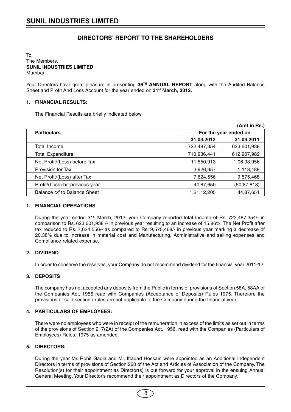# **DIRECTORS' REPORT TO THE SHAREHOLDERS**

# To, The Members, **SUNIL INDUSTRIES LIMITED** Mumbai

Your Directors have great pleasure in presenting 36<sup>TH</sup> ANNUAL REPORT along with the Audited Balance Sheet and Profit And Loss Account for the year ended on **31st March, 2012.**

# **1. FINANCIAL RESULTS:**

The Financial Results are briefly indicated below

|                                 |             | (Amt in Rs.)          |
|---------------------------------|-------------|-----------------------|
| <b>Particulars</b>              |             | For the year ended on |
|                                 | 31.03.2012  | 31.03.2011            |
| Total Income                    | 722,487,354 | 623,601,938           |
| <b>Total Expenditure</b>        | 710,936,441 | 612,907,982           |
| Net Profit/(Loss) before Tax    | 11,550,913  | 1,06,93,956           |
| Provision for Tax               | 3,926,357   | 1,118,488             |
| Net Profit/(Loss) after Tax     | 7,624,556   | 9,575,468             |
| Profit/(Loss) b/f previous year | 44,87,650   | (50, 87, 818)         |
| Balance c/f to Balance Sheet    | 1,21,12,205 | 44,87,651             |

# **1. FINANCIAL OPERATIONS**

During the year ended 31<sup>st</sup> March, 2012, your Company reported total Income of Rs. 722,487,354/- in comparison to Rs. 623,601,938 /- in previous year resulting to an increase of 15.86%. The Net Profit after tax reduced to Rs. 7,624,556/- as compared to Rs. 9,575,468/- in previous year marking a decrease of 20.38% due to increase in material cost and Manufacturing, Administrative and selling expenses and Compliance related expense.

# **2. DIVIDEND**

In order to conserve the reserves, your Company do not recommend dividend for the financial year 2011-12.

# **3. DEPOSITS**

The company has not accepted any deposits from the Public in terms of provisions of Section 58A, 58AA of the Companies Act, 1956 read with Companies (Acceptance of Deposits) Rules 1975. Therefore the provisions of said section / rules are not applicable to the Company during the financial year.

# **4. PARTICULARS OF EMPLOYEES:**

There were no employees who were in receipt of the remuneration in excess of the limits as set out in terms of the provisions of Section 217(2A) of the Companies Act, 1956, read with the Companies (Particulars of Employees) Rules, 1975 as amended.

# **5. DIRECTORS:**

During the year Mr. Rohit Gadia and Mr. Iftadad Hossain were appointed as an Additional Independent Directors in terms of provisions of Section 260 of the Act and Articles of Association of the Company. The Resolution(s) for their appointment as Director(s) is put forward for your approval in the ensuing Annual General Meeting. Your Director's recommend their appointment as Directors of the Company.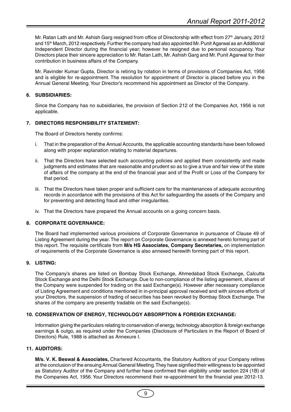Mr. Ratan Lath and Mr. Ashish Garg resigned from office of Directorship with effect from 27<sup>th</sup> January, 2012 and 15<sup>th</sup> March, 2012 respectively. Further the company had also appointed Mr. Punit Agarwal as an Additional Independent Director during the financial year; however he resigned due to personal occupancy. Your Directors place their sincere appreciation to Mr. Ratan Lath, Mr. Ashish Garg and Mr. Punit Agarwal for their contribution in business affairs of the Company.

Mr. Ravinder Kumar Gupta, Director is retiring by rotation in terms of provisions of Companies Act, 1956 and is eligible for re-appointment. The resolution for appointment of Director is placed before you in the Annual General Meeting. Your Director's recommend his appointment as Director of the Company.

# **6. SUBSIDIARIES:**

Since the Company has no subsidiaries, the provision of Section 212 of the Companies Act, 1956 is not applicable.

# **7. DIRECTORS RESPONSIBILITY STATEMENT:**

The Board of Directors hereby confirms:

- i. That in the preparation of the Annual Accounts, the applicable accounting standards have been followed along with proper explanation relating to material departures.
- ii. That the Directors have selected such accounting policies and applied them consistently and made judgments and estimates that are reasonable and prudent so as to give a true and fair view of the state of affairs of the company at the end of the financial year and of the Profit or Loss of the Company for that period.
- iii. That the Directors have taken proper and sufficient care for the maintenances of adequate accounting records in accordance with the provisions of this Act for safeguarding the assets of the Company and for preventing and detecting fraud and other irregularities.
- iv. That the Directors have prepared the Annual accounts on a going concern basis.

# **8. CORPORATE GOVERNANCE:**

The Board had implemented various provisions of Corporate Governance in pursuance of Clause 49 of Listing Agreement during the year. The report on Corporate Governance is annexed hereto forming part of this report. The requisite certificate from **M/s HS Associates, Company Secretaries,** on implementation of requirements of the Corporate Governance is also annexed herewith forming part of this report.

# **9. LISTING:**

The Company's shares are listed on Bombay Stock Exchange, Ahmedabad Stock Exchange, Calcutta Stock Exchange and the Delhi Stock Exchange. Due to non-compliance of the listing agreement, shares of the Company were suspended for trading on the said Exchange(s). However after necessary compliance of Listing Agreement and conditions mentioned in in-principal approval received and with sincere efforts of your Directors, the suspension of trading of securities has been revoked by Bombay Stock Exchange. The shares of the company are presently tradable on the said Exchange(s).

# **10. CONSERVATION OF ENERGY, TECHNOLOGY ABSORPTION & FOREIGN EXCHANGE:**

Information giving the particulars relating to conservation of energy, technology absorption & foreign exchange earnings & outgo, as required under the Companies (Disclosure of Particulars in the Report of Board of Directors) Rule, 1988 is attached as Annexure I.

# **11. AUDITORS:**

**M/s. V. K. Beswal & Associates,** Chartered Accountants, the Statutory Auditors of your Company retires at the conclusion of the ensuing Annual General Meeting. They have signified their willingness to be appointed as Statutory Auditor of the Company and further have confirmed their eligibility under section 224 (1B) of the Companies Act, 1956. Your Directors recommend their re-appointment for the financial year 2012-13.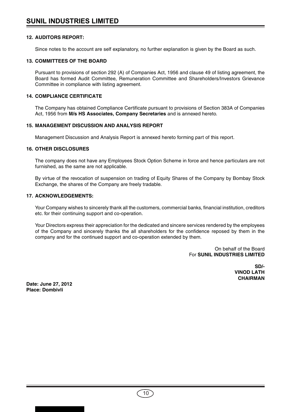# **12. AUDITORS REPORT:**

Since notes to the account are self explanatory, no further explanation is given by the Board as such.

# **13. COMMITTEES OF THE BOARD**

Pursuant to provisions of section 292 (A) of Companies Act, 1956 and clause 49 of listing agreement, the Board has formed Audit Committee, Remuneration Committee and Shareholders/Investors Grievance Committee in compliance with listing agreement.

# **14. COMPLIANCE CERTIFICATE**

The Company has obtained Compliance Certificate pursuant to provisions of Section 383A of Companies Act, 1956 from **M/s HS Associates, Company Secretaries** and is annexed hereto.

# **15. MANAGEMENT DISCUSSION AND ANALYSIS REPORT**

Management Discussion and Analysis Report is annexed hereto forming part of this report.

# **16. OTHER DISCLOSURES**

The company does not have any Employees Stock Option Scheme in force and hence particulars are not furnished, as the same are not applicable.

By virtue of the revocation of suspension on trading of Equity Shares of the Company by Bombay Stock Exchange, the shares of the Company are freely tradable.

# **17. ACKNOWLEDGEMENTS:**

Your Company wishes to sincerely thank all the customers, commercial banks, financial institution, creditors etc. for their continuing support and co-operation.

Your Directors express their appreciation for the dedicated and sincere services rendered by the employees of the Company and sincerely thanks the all shareholders for the confidence reposed by them in the company and for the continued support and co-operation extended by them.

> On behalf of the Board For **SUNIL INDUSTRIES LIMITED**

> > **SD/- VINOD LATH CHAIRMAN**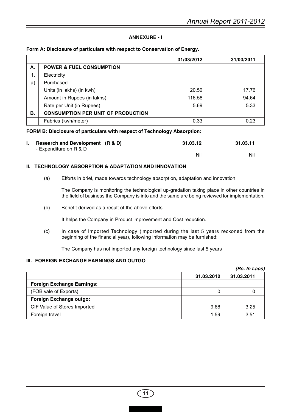# **ANNEXURE - I**

# **Form A: Disclosure of particulars with respect to Conservation of Energy.**

|    |                                           | 31/03/2012 | 31/03/2011 |
|----|-------------------------------------------|------------|------------|
| А. | <b>POWER &amp; FUEL CONSUMPTION</b>       |            |            |
| 1. | Electricity                               |            |            |
| a) | Purchased                                 |            |            |
|    | Units (in lakhs) (in kwh)                 | 20.50      | 17.76      |
|    | Amount in Rupees (in lakhs)               | 116.58     | 94.64      |
|    | Rate per Unit (in Rupees)                 | 5.69       | 5.33       |
| В. | <b>CONSUMPTION PER UNIT OF PRODUCTION</b> |            |            |
|    | Fabrics (kwh/meter)                       | 0.33       | 0.23       |

# **FORM B: Disclosure of particulars with respect of Technology Absorption:**

| <b>Research and Development (R &amp; D)</b> | 31.03.12 | 31.03.11 |
|---------------------------------------------|----------|----------|
| - Expenditure on R & D                      |          |          |
|                                             | Nil      | Nil      |

# **II. TECHNOLOGY ABSORPTION & ADAPTATION AND INNOVATION**

(a) Efforts in brief, made towards technology absorption, adaptation and innovation

The Company is monitoring the technological up-gradation taking place in other countries in the field of business the Company is into and the same are being reviewed for implementation.

(b) Benefit derived as a result of the above efforts

It helps the Company in Product improvement and Cost reduction.

(c) In case of Imported Technology (imported during the last 5 years reckoned from the beginning of the financial year), following information may be furnished:

The Company has not imported any foreign technology since last 5 years

# **III. FOREIGN EXCHANGE EARNINGS AND OUTGO**

|                                   |            | (Rs. In Lacs) |
|-----------------------------------|------------|---------------|
|                                   | 31.03.2012 | 31.03.2011    |
| <b>Foreign Exchange Earnings:</b> |            |               |
| (FOB vale of Exports)             | 0          |               |
| <b>Foreign Exchange outgo:</b>    |            |               |
| CIF Value of Stores Imported      | 9.68       | 3.25          |
| Foreign travel                    | 1.59       | 2.51          |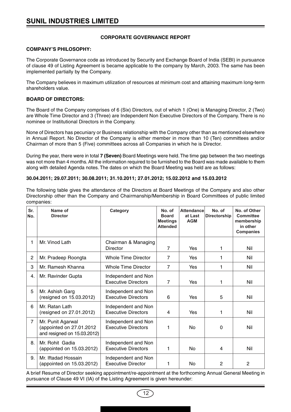# **CORPORATE GOVERNANCE REPORT**

# **COMPANY'S PHILOSOPHY:**

The Corporate Governance code as introduced by Security and Exchange Board of India (SEBI) in pursuance of clause 49 of Listing Agreement is became applicable to the company by March, 2003. The same has been implemented partially by the Company.

The Company believes in maximum utilization of resources at minimum cost and attaining maximum long-term shareholders value.

# **BOARD OF DIRECTORS:**

The Board of the Company comprises of 6 (Six) Directors, out of which 1 (One) is Managing Director, 2 (Two) are Whole Time Director and 3 (Three) are Independent Non Executive Directors of the Company. There is no nominee or Institutional Directors in the Company.

None of Directors has pecuniary or Business relationship with the Company other than as mentioned elsewhere in Annual Report. No Director of the Company is either member in more than 10 (Ten) committees and/or Chairman of more than 5 (Five) committees across all Companies in which he is Director.

During the year, there were in total **7 (Seven)** Board Meetings were held. The time gap between the two meetings was not more than 4 months. All the information required to be furnished to the Board was made available to them along with detailed Agenda notes. The dates on which the Board Meeting was held are as follows:

# **30.04.2011; 29.07.2011; 30.08.2011; 31.10.2011; 27.01.2012; 15.02.2012 and 15.03.2012**

The following table gives the attendance of the Directors at Board Meetings of the Company and also other Directorship other than the Company and Chairmanship/Membership in Board Committees of public limited companies:

| Sr.<br>No.     | Name of<br><b>Director</b>                                                   | Category                                          | No. of<br><b>Board</b><br><b>Meetings</b><br><b>Attended</b> | <b>Attendance</b><br>at Last<br><b>AGM</b> | No. of<br><b>Directorship</b> | No. of Other<br><b>Committee</b><br>membership<br>in other<br><b>Companies</b> |
|----------------|------------------------------------------------------------------------------|---------------------------------------------------|--------------------------------------------------------------|--------------------------------------------|-------------------------------|--------------------------------------------------------------------------------|
| 1              | Mr. Vinod Lath                                                               | Chairman & Managing<br><b>Director</b>            | 7                                                            | Yes                                        | 1                             | Nil                                                                            |
| $\overline{c}$ | Mr. Pradeep Roongta                                                          | <b>Whole Time Director</b>                        | 7                                                            | Yes                                        | 1                             | Nil                                                                            |
| 3              | Mr. Ramesh Khanna                                                            | Whole Time Director                               | $\overline{7}$                                               | Yes                                        | 1                             | Nil                                                                            |
| 4.             | Mr. Ravinder Gupta                                                           | Independent and Non<br><b>Executive Directors</b> | 7                                                            | Yes                                        | 1                             | Nil                                                                            |
| 5              | Mr. Ashish Garg<br>(resigned on 15.03.2012)                                  | Independent and Non<br><b>Executive Directors</b> | 6                                                            | Yes                                        | 5                             | Nil                                                                            |
| 6              | Mr. Ratan Lath<br>(resigned on 27.01.2012)                                   | Independent and Non<br><b>Executive Directors</b> | 4                                                            | Yes                                        | 1                             | Nil                                                                            |
| $\overline{7}$ | Mr. Punit Agarwal<br>(appointed on 27.01.2012<br>and resigned on 15.03.2012) | Independent and Non<br><b>Executive Directors</b> | 1                                                            | <b>No</b>                                  | 0                             | Nil                                                                            |
| 8.             | Mr. Rohit Gadia<br>(appointed on 15.03.2012)                                 | Independent and Non<br><b>Executive Directors</b> | 1                                                            | No                                         | 4                             | Nil                                                                            |
| 9.             | Mr. Iftadad Hossain<br>(appointed on 15.03.2012)                             | Independent and Non<br><b>Executive Director</b>  | 1                                                            | No                                         | $\overline{2}$                | $\overline{2}$                                                                 |

A brief Resume of Director seeking appointment/re-appointment at the forthcoming Annual General Meeting in pursuance of Clause 49 VI (IA) of the Listing Agreement is given hereunder:

12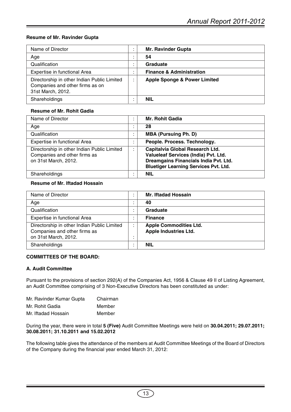# **Resume of Mr. Ravinder Gupta**

| Name of Director                                                                                    | <b>Mr. Ravinder Gupta</b>               |
|-----------------------------------------------------------------------------------------------------|-----------------------------------------|
| Age                                                                                                 | 54                                      |
| Qualification                                                                                       | Graduate                                |
| Expertise in functional Area                                                                        | <b>Finance &amp; Administration</b>     |
| Directorship in other Indian Public Limited<br>Companies and other firms as on<br>31st March, 2012. | <b>Apple Sponge &amp; Power Limited</b> |
| Shareholdings                                                                                       | <b>NIL</b>                              |

# **Resume of Mr. Rohit Gadia**

| Name of Director                                                                                    |     | <b>Mr. Rohit Gadia</b>                                                                                                                                           |
|-----------------------------------------------------------------------------------------------------|-----|------------------------------------------------------------------------------------------------------------------------------------------------------------------|
| Age                                                                                                 |     | 28                                                                                                                                                               |
| Qualification                                                                                       |     | <b>MBA (Pursuing Ph. D)</b>                                                                                                                                      |
| Expertise in functional Area                                                                        |     | People. Process. Technology.                                                                                                                                     |
| Directorship in other Indian Public Limited<br>Companies and other firms as<br>on 31st March, 2012. | . . | Capitalvia Global Research Ltd.<br>Valueleaf Services (India) Pvt. Ltd.<br>Dreamgains Financials India Pvt. Ltd.<br><b>Bluetiger Learning Services Pvt. Ltd.</b> |
| Shareholdings                                                                                       |     | <b>NIL</b>                                                                                                                                                       |

# **Resume of Mr. Iftadad Hossain**

| Name of Director                                                                                    | <b>Mr. Iftadad Hossain</b>                                    |
|-----------------------------------------------------------------------------------------------------|---------------------------------------------------------------|
| Age                                                                                                 | 40                                                            |
| Qualification                                                                                       | Graduate                                                      |
| Expertise in functional Area                                                                        | <b>Finance</b>                                                |
| Directorship in other Indian Public Limited<br>Companies and other firms as<br>on 31st March, 2012. | <b>Apple Commodities Ltd.</b><br><b>Apple Industries Ltd.</b> |
| Shareholdings                                                                                       | <b>NIL</b>                                                    |

# **COMMITTEES OF THE BOARD:**

# **A. Audit Committee**

Pursuant to the provisions of section 292(A) of the Companies Act, 1956 & Clause 49 II of Listing Agreement, an Audit Committee comprising of 3 Non-Executive Directors has been constituted as under:

| Mr. Ravinder Kumar Gupta | Chairman |
|--------------------------|----------|
| Mr. Rohit Gadia          | Member   |
| Mr. Iftadad Hossain      | Member   |

During the year, there were in total **5 (Five)** Audit Committee Meetings were held on **30.04.2011; 29.07.2011; 30.08.2011; 31.10.2011 and 15.02.2012**

The following table gives the attendance of the members at Audit Committee Meetings of the Board of Directors of the Company during the financial year ended March 31, 2012: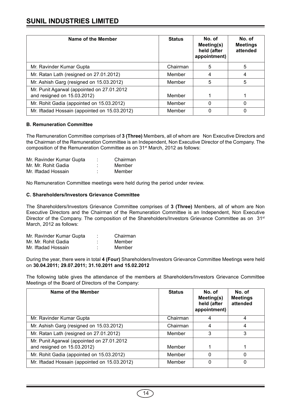# **SUNIL INDUSTRIES LIMITED**

| Name of the Member                                                         | <b>Status</b> | No. of<br>Meeting(s)<br>held (after<br>appointment) | No. of<br><b>Meetings</b><br>attended |
|----------------------------------------------------------------------------|---------------|-----------------------------------------------------|---------------------------------------|
| Mr. Ravinder Kumar Gupta                                                   | Chairman      | 5                                                   | 5                                     |
| Mr. Ratan Lath (resigned on 27.01.2012)                                    | Member        | 4                                                   | 4                                     |
| Mr. Ashish Garg (resigned on 15.03.2012)                                   | Member        | 5                                                   | 5                                     |
| Mr. Punit Agarwal (appointed on 27.01.2012)<br>and resigned on 15.03.2012) | Member        |                                                     |                                       |
| Mr. Rohit Gadia (appointed on 15.03.2012)                                  | Member        | 0                                                   | 0                                     |
| Mr. Iftadad Hossain (appointed on 15.03.2012)                              | Member        |                                                     | 0                                     |

# **B. Remuneration Committee**

The Remuneration Committee comprises of **3 (Three)** Members, all of whom are Non Executive Directors and the Chairman of the Remuneration Committee is an Independent, Non Executive Director of the Company. The composition of the Remuneration Committee as on 31<sup>st</sup> March, 2012 as follows:

| Mr. Ravinder Kumar Gupta | ٠<br>٠ | Chairman |
|--------------------------|--------|----------|
| Mr. Mr. Rohit Gadia      | ٠<br>٠ | Member   |
| Mr. Iftadad Hossain      | ٠      | Member   |

No Remuneration Committee meetings were held during the period under review.

# **C. Shareholders/Investors Grievance Committee**

The Shareholders/Investors Grievance Committee comprises of **3 (Three)** Members, all of whom are Non Executive Directors and the Chairman of the Remuneration Committee is an Independent, Non Executive Director of the Company. The composition of the Shareholders/Investors Grievance Committee as on 31<sup>st</sup> March, 2012 as follows:

| Mr. Ravinder Kumar Gupta | $\blacksquare$<br>٠ | Chairman |
|--------------------------|---------------------|----------|
| Mr. Mr. Rohit Gadia      | $\bullet$<br>٠      | Member   |
| Mr. Iftadad Hossain      | ٠<br>٠              | Member   |

During the year, there were in total **4 (Four)** Shareholders/Investors Grievance Committee Meetings were held on **30.04.2011; 29.07.2011; 31.10.2011 and 15.02.2012**

The following table gives the attendance of the members at Shareholders/Investors Grievance Committee Meetings of the Board of Directors of the Company:

| Name of the Member                                                        | <b>Status</b> | No. of<br>Meeting(s)<br>held (after<br>appointment) | No. of<br><b>Meetings</b><br>attended |
|---------------------------------------------------------------------------|---------------|-----------------------------------------------------|---------------------------------------|
| Mr. Ravinder Kumar Gupta                                                  | Chairman      | 4                                                   | 4                                     |
| Mr. Ashish Garg (resigned on 15.03.2012)                                  | Chairman      | 4                                                   | 4                                     |
| Mr. Ratan Lath (resigned on 27.01.2012)                                   | Member        | 3                                                   | 3                                     |
| Mr. Punit Agarwal (appointed on 27.01.2012<br>and resigned on 15.03.2012) | Member        |                                                     |                                       |
| Mr. Rohit Gadia (appointed on 15.03.2012)                                 | Member        | 0                                                   | 0                                     |
| Mr. Iftadad Hossain (appointed on 15.03.2012)                             | Member        | 0                                                   | 0                                     |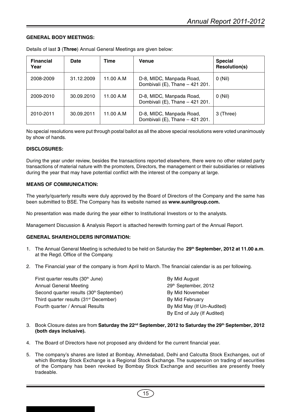# **GENERAL BODY MEETINGS:**

| <b>Financial</b><br>Year | <b>Date</b> | Time      | <b>Venue</b>                                                | <b>Special</b><br><b>Resolution(s)</b> |
|--------------------------|-------------|-----------|-------------------------------------------------------------|----------------------------------------|
| 2008-2009                | 31.12.2009  | 11.00 A.M | D-8, MIDC, Manpada Road,<br>Dombivali (E), Thane - 421 201. | O(Nil)                                 |
| 2009-2010                | 30.09.2010  | 11.00 A.M | D-8, MIDC, Manpada Road,<br>Dombivali (E), Thane - 421 201. | $0$ (Nil)                              |
| 2010-2011                | 30.09.2011  | 11.00 A.M | D-8, MIDC, Manpada Road,<br>Dombivali (E), Thane - 421 201. | 3 (Three)                              |

Details of last **3** (**Three**) Annual General Meetings are given below:

No special resolutions were put through postal ballot as all the above special resolutions were voted unanimously by show of hands.

# **DISCLOSURES:**

During the year under review, besides the transactions reported elsewhere, there were no other related party transactions of material nature with the promoters, Directors, the management or their subsidiaries or relatives during the year that may have potential conflict with the interest of the company at large.

# **MEANS OF COMMUNICATION:**

The yearly/quarterly results were duly approved by the Board of Directors of the Company and the same has been submitted to BSE. The Company has its website named as **www.sunilgroup.com.**

No presentation was made during the year either to Institutional Investors or to the analysts.

Management Discussion & Analysis Report is attached herewith forming part of the Annual Report.

# **GENERAL SHAREHOLDERS INFORMATION:**

- 1. The Annual General Meeting is scheduled to be held on Saturday the **29th September, 2012 at 11.00 a.m**. at the Regd. Office of the Company.
- 2. The Financial year of the company is from April to March. The financial calendar is as per following.

| First quarter results (30 <sup>th</sup> June)       | By Mid August               |
|-----------------------------------------------------|-----------------------------|
| <b>Annual General Meeting</b>                       | 29th September, 2012        |
| Second quarter results (30 <sup>th</sup> September) | By Mid Novemeber            |
| Third quarter results (31 <sup>st</sup> December)   | By Mid February             |
| Fourth quarter / Annual Results                     | By Mid May (If Un-Audited)  |
|                                                     | By End of July (If Audited) |

- 3. Book Closure dates are from **Saturday the 22nd September, 2012 to Saturday the 29th September, 2012 (both days inclusive).**
- 4. The Board of Directors have not proposed any dividend for the current financial year.
- 5. The company's shares are listed at Bombay, Ahmedabad, Delhi and Calcutta Stock Exchanges, out of which Bombay Stock Exchange is a Regional Stock Exchange. The suspension on trading of securities of the Company has been revoked by Bombay Stock Exchange and securities are presently freely tradeable.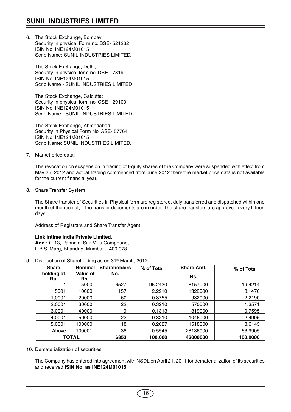6. The Stock Exchange, Bombay Security in physical Form no. BSE- 521232 ISIN No. INE124M01015 Scrip Name: SUNIL INDUSTRIES LIMITED.

The Stock Exchange, Delhi; Security in physical form no. DSE - 7819; ISIN No. INE124M01015 Scrip Name - SUNIL INDUSTRIES LIMITED

The Stock Exchange, Calcutta; Security in physical form no. CSE - 29100; ISIN No. INE124M01015 Scrip Name - SUNIL INDUSTRIES LIMITED

The Stock Exchange, Ahmedabad. Security in Physical Form No. ASE- 57764 ISIN No. INE124M01015 Scrip Name: SUNIL INDUSTRIES LIMITED.

7. Market price data:

The revocation on suspension in trading of Equity shares of the Company were suspended with effect from May 25, 2012 and actual trading commenced from June 2012 therefore market price data is not available for the current financial year.

8. Share Transfer System

The Share transfer of Securities in Physical form are registered, duly transferred and dispatched within one month of the receipt, if the transfer documents are in order. The share transfers are approved every fifteen days.

Address of Registrars and Share Transfer Agent.

# **Link Intime India Private Limited.**

**Add.:** C-13, Pannalal Silk Mills Compound, L.B.S. Marg, Bhandup, Mumbai – 400 078.

9. Distribution of Shareholding as on 31<sup>st</sup> March, 2012.

| <b>Share</b>      | <b>Nominal</b>         | <b>Shareholders</b> | % of Total | <b>Share Amt.</b> | % of Total |
|-------------------|------------------------|---------------------|------------|-------------------|------------|
| holding of<br>Rs. | <b>Value of</b><br>Rs. | No.                 |            | Rs.               |            |
|                   | 5000                   | 6527                | 95.2430    | 8157000           | 19.4214    |
| 5001              | 10000                  | 157                 | 2.2910     | 1322000           | 3.1476     |
| 1,0001            | 20000                  | 60                  | 0.8755     | 932000            | 2.2190     |
| 2,0001            | 30000                  | 22                  | 0.3210     | 570000            | 1.3571     |
| 3,0001            | 40000                  | 9                   | 0.1313     | 319000            | 0.7595     |
| 4,0001            | 50000                  | 22                  | 0.3210     | 1046000           | 2.4905     |
| 5,0001            | 100000                 | 18                  | 0.2627     | 1518000           | 3.6143     |
| Above             | 100001                 | 38                  | 0.5545     | 28136000          | 66.9905    |
|                   | TOTAL                  | 6853                | 100.000    | 42000000          | 100.0000   |

10. Dematerialization of securities

The Company has entered into agreement with NSDL on April 21, 2011 for dematerialization of its securities and received **ISIN No. as INE124M01015**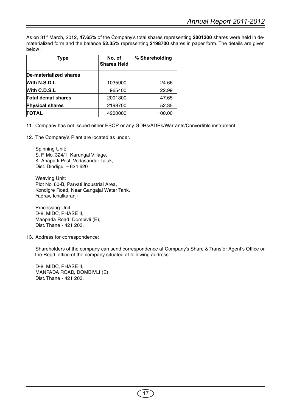As on 31st March, 2012, **47.65%** of the Company's total shares representing **2001300** shares were held in dematerialized form and the balance **52.35%** representing **2198700** shares in paper form. The details are given below :

| <b>Type</b>                   | No. of<br><b>Shares Held</b> | % Shareholding |
|-------------------------------|------------------------------|----------------|
| <b>De-materialized shares</b> |                              |                |
| With N.S.D.L                  | 1035900                      | 24.66          |
| With C.D.S.L                  | 965400                       | 22.99          |
| <b>Total demat shares</b>     | 2001300                      | 47.65          |
| <b>Physical shares</b>        | 2198700                      | 52.35          |
| <b>TOTAL</b>                  | 4200000                      | 100.00         |

11. Company has not issued either ESOP or any GDRs/ADRs/Warrants/Convertible instrument.

12. The Company's Plant are located as under.

Spinning Unit: S. F. Mo. 324/1, Karungal Village, K. Anapatti Post, Vedasandur Taluk, Dist. Dindigul – 624 620

Weaving Unit: Plot No. 60-B, Parvati Industrial Area, Kondigre Road, Near Gangajal Water Tank, Yadrav, Ichalkaranji

Processing Unit: D-8, MIDC, PHASE II, Manpada Road, Dombivli (E), Dist. Thane - 421 203.

13. Address for correspondence:

Shareholders of the company can send correspondence at Company's Share & Transfer Agent's Office or the Regd. office of the company situated at following address:

D-8, MIDC, PHASE II, MANPADA ROAD, DOMBIVLI (E), Dist. Thane - 421 203.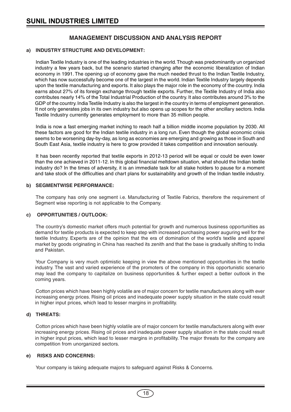# **MANAGEMENT DISCUSSION AND ANALYSIS REPORT**

# **a) INDUSTRY STRUCTURE AND DEVELOPMENT:**

Indian Textile Industry is one of the leading industries in the world. Though was predominantly un organized industry a few years back, but the scenario started changing after the economic liberalization of Indian economy in 1991. The opening up of economy gave the much needed thrust to the Indian Textile Industry, which has now successfully become one of the largest in the world. Indian Textile Industry largely depends upon the textile manufacturing and exports. It also plays the major role in the economy of the country. India earns about 27% of its foreign exchange through textile exports. Further, the Textile Industry of India also contributes nearly 14% of the Total Industrial Production of the country. It also contributes around 3% to the GDP of the country. India Textile Industry is also the largest in the country in terms of employment generation. It not only generates jobs in its own industry but also opens up scopes for the other ancillary sectors. India Textile Industry currently generates employment to more than 35 million people.

India is now a fast emerging market inching to reach half a billion middle income population by 2030. All these factors are good for the Indian textile industry in a long run. Even though the global economic crisis seems to be worsening day-by-day, as long as economies are emerging and growing as those in South and South East Asia, textile industry is here to grow provided it takes competition and innovation seriously.

It has been recently reported that textile exports in 2012-13 period will be equal or could be even lower than the one achieved in 2011-12. In this global financial meltdown situation, what should the Indian textile industry do? In the times of adversity, it is an immediate task for all stake holders to pause for a moment and take stock of the difficulties and chart plans for sustainability and growth of the Indian textile industry.

# **b) SEGMENTWISE PERFORMANCE:**

The company has only one segment i.e. Manufacturing of Textile Fabrics, therefore the requirement of Segment wise reporting is not applicable to the Company.

# **c) OPPORTUNITIES / OUTLOOK:**

The country's domestic market offers much potential for growth and numerous business opportunities as demand for textile products is expected to keep step with increased purchasing power auguring well for the textile Industry. Experts are of the opinion that the era of domination of the world's textile and apparel market by goods originating in China has reached its zenith and that the base is gradually shifting to India and Pakistan.

Your Company is very much optimistic keeping in view the above mentioned opportunities in the textile industry. The vast and varied experience of the promoters of the company in this opportunistic scenario may lead the company to capitalize on business opportunities & further expect a better outlook in the coming years.

Cotton prices which have been highly volatile are of major concern for textile manufacturers along with ever increasing energy prices. Rising oil prices and inadequate power supply situation in the state could result in higher input prices, which lead to lesser margins in profitability.

# **d) THREATS:**

Cotton prices which have been highly volatile are of major concern for textile manufacturers along with ever increasing energy prices. Rising oil prices and inadequate power supply situation in the state could result in higher input prices, which lead to lesser margins in profitability. The major threats for the company are competition from unorganized sectors.

# **e) RISKS AND CONCERNS:**

Your company is taking adequate majors to safeguard against Risks & Concerns.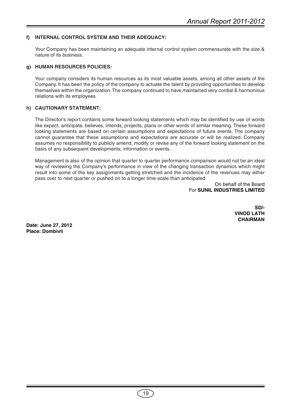# **f) INTERNAL CONTROL SYSTEM AND THEIR ADEQUACY:**

Your Company has been maintaining an adequate internal control system commensurate with the size & nature of its business.

# **g) HUMAN RESOURCES POLICIES:**

Your company considers its human resources as its most valuable assets, among all other assets of the Company. It has been the policy of the company to actuate the talent by providing opportunities to develop themselves within the organization. The company continued to have maintained very cordial & harmonious relations with its employees.

# **h) CAUTIONARY STATEMENT:**

The Director's report contains some forward looking statements which may be identified by use of words like expect, anticipate, believes, intends, projects, plans or other words of similar meaning. These forward looking statements are based on certain assumptions and expectations of future events. The company cannot guarantee that these assumptions and expectations are accurate or will be realized. Company assumes no responsibility to publicly amend, modify or revise any of the forward looking statement on the basis of any subsequent developments, information or events.

Management is also of the opinion that quarter to quarter performance comparison would not be an ideal way of reviewing the Company's performance in view of the changing transaction dynamics which might result into some of the key assignments getting stretched and the incidence of the revenues may either pass over to next quarter or pushed on to a longer time scale than anticipated

> On behalf of the Board For **SUNIL INDUSTRIES LIMITED**

> > **SD/- VINOD LATH CHAIRMAN**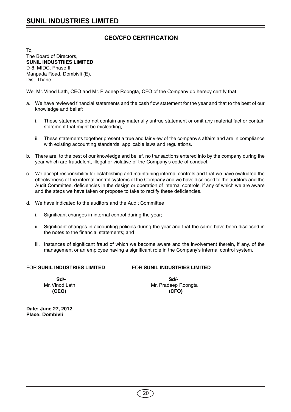# **CEO/CFO CERTIFICATION**

To, The Board of Directors, **SUNIL INDUSTRIES LIMITED** D-8, MIDC, Phase II, Manpada Road, Dombivli (E), Dist. Thane

We, Mr. Vinod Lath, CEO and Mr. Pradeep Roongta, CFO of the Company do hereby certify that:

- a. We have reviewed financial statements and the cash flow statement for the year and that to the best of our knowledge and belief:
	- i. These statements do not contain any materially untrue statement or omit any material fact or contain statement that might be misleading;
	- ii. These statements together present a true and fair view of the company's affairs and are in compliance with existing accounting standards, applicable laws and regulations.
- b. There are, to the best of our knowledge and belief, no transactions entered into by the company during the year which are fraudulent, illegal or violative of the Company's code of conduct.
- c. We accept responsibility for establishing and maintaining internal controls and that we have evaluated the effectiveness of the internal control systems of the Company and we have disclosed to the auditors and the Audit Committee, deficiencies in the design or operation of internal controls, if any of which we are aware and the steps we have taken or propose to take to rectify these deficiencies.
- d. We have indicated to the auditors and the Audit Committee
	- i. Significant changes in internal control during the year;
	- ii. Significant changes in accounting policies during the year and that the same have been disclosed in the notes to the financial statements; and
	- iii. Instances of significant fraud of which we become aware and the involvement therein, if any, of the management or an employee having a significant role in the Company's internal control system.

# FOR **SUNIL INDUSTRIES LIMITED** FOR **SUNIL INDUSTRIES LIMITED**

 **Sd/- Sd/- (CEO) (CFO)**

Mr. Vinod Lath Mr. Pradeep Roongta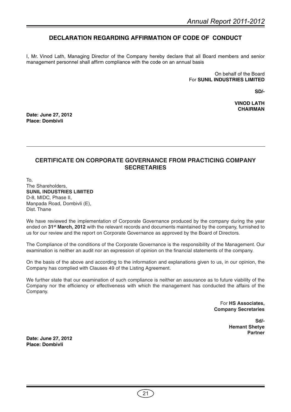# **DECLARATION REGARDING AFFIRMATION OF CODE OF CONDUCT**

I, Mr. Vinod Lath, Managing Director of the Company hereby declare that all Board members and senior management personnel shall affirm compliance with the code on an annual basis

> On behalf of the Board For **SUNIL INDUSTRIES LIMITED**

> > **SD/-**

**VINOD LATH CHAIRMAN**

**Date: June 27, 2012 Place: Dombivli**

# **CERTIFICATE ON CORPORATE GOVERNANCE FROM PRACTICING COMPANY SECRETARIES**

To, The Shareholders, **SUNIL INDUSTRIES LIMITED** D-8, MIDC, Phase II, Manpada Road, Dombivli (E), Dist. Thane

We have reviewed the implementation of Corporate Governance produced by the company during the year ended on **31st March, 2012** with the relevant records and documents maintained by the company, furnished to us for our review and the report on Corporate Governance as approved by the Board of Directors.

The Compliance of the conditions of the Corporate Governance is the responsibility of the Management. Our examination is neither an audit nor an expression of opinion on the financial statements of the company.

On the basis of the above and according to the information and explanations given to us, in our opinion, the Company has complied with Clauses 49 of the Listing Agreement.

We further state that our examination of such compliance is neither an assurance as to future viability of the Company nor the efficiency or effectiveness with which the management has conducted the affairs of the Company.

> For **HS Associates, Company Secretaries**

> > **Sd/- Hemant Shetye Partner**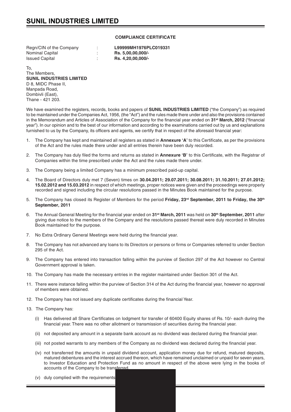# **COMPLIANCE CERTIFICATE**

Regn/CIN of the Company : **L99999MH1976PLC019331** Nominal Capital : **Rs. 5,00,00,000/-**

Issued Capital : **Rs. 4,20,00,000/-**

To, The Members, **SUNIL INDUSTRIES LIMITED** D 8, MIDC Phase II, Manpada Road, Dombivli (East), Thane - 421 203.

We have examined the registers, records, books and papers of **SUNIL INDUSTRIES LIMITED** ("the Company") as required to be maintained under the Companies Act, 1956, (the "Act") and the rules made there under and also the provisions contained in the Memorandum and Articles of Association of the Company for the financial year ended on **31st March, 2012** ("financial year"). In our opinion and to the best of our information and according to the examinations carried out by us and explanations furnished to us by the Company, its officers and agents, we certify that in respect of the aforesaid financial year:

- 1. The Company has kept and maintained all registers as stated in **Annexure 'A'** to this Certificate, as per the provisions of the Act and the rules made there under and all entries therein have been duly recorded.
- 2. The Company has duly filed the forms and returns as stated in **Annexure 'B'** to this Certificate, with the Registrar of Companies within the time prescribed under the Act and the rules made there under.
- 3. The Company being a limited Company has a minimum prescribed paid-up capital.
- 4. The Board of Directors duly met 7 (Seven) times on **30.04.2011; 29.07.2011; 30.08.2011; 31.10.2011; 27.01.2012; 15.02.2012 and 15.03.2012** in respect of which meetings, proper notices were given and the proceedings were properly recorded and signed including the circular resolutions passed in the Minutes Book maintained for the purpose.
- 5. The Company has closed its Register of Members for the period **Friday, 23rd September, 2011 to Friday, the 30th September, 2011**
- 6. The Annual General Meeting for the financial year ended on **31st March, 2011** was held on **30th September, 2011** after giving due notice to the members of the Company and the resolutions passed thereat were duly recorded in Minutes Book maintained for the purpose.
- 7. No Extra Ordinary General Meetings were held during the financial year.
- 8. The Company has not advanced any loans to its Directors or persons or firms or Companies referred to under Section 295 of the Act.
- 9. The Company has entered into transaction falling within the purview of Section 297 of the Act however no Central Government approval is taken.
- 10. The Company has made the necessary entries in the register maintained under Section 301 of the Act.
- 11. There were instance falling within the purview of Section 314 of the Act during the financial year, however no approval of members were obtained.
- 12. The Company has not issued any duplicate certificates during the financial Year.
- 13. The Company has:
	- (i) Has delivered all Share Certificates on lodgment for transfer of 60400 Equity shares of Rs. 10/- each during the financial year. There was no other allotment or transmission of securities during the financial year.
	- (ii) not deposited any amount in a separate bank account as no dividend was declared during the financial year.
	- (iii) not posted warrants to any members of the Company as no dividend was declared during the financial year.
	- (iv) not transferred the amounts in unpaid dividend account, application money due for refund, matured deposits, matured debentures and the interest accrued thereon, which have remained unclaimed or unpaid for seven years, to Investor Education and Protection Fund as no amount in respect of the above were lying in the books of accounts of the Company to be transferred.
	- $(v)$  duly complied with the requirements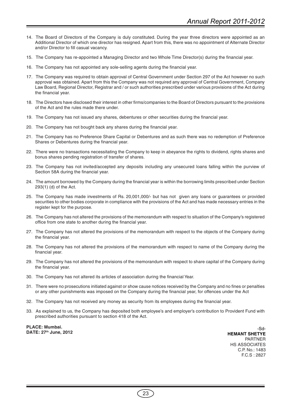- 14. The Board of Directors of the Company is duly constituted. During the year three directors were appointed as an Additional Director of which one director has resigned. Apart from this, there was no appointment of Alternate Director and/or Director to fill casual vacancy.
- 15. The Company has re-appointed a Managing Director and two Whole Time Director(s) during the financial year.
- 16. The Company has not appointed any sole-selling agents during the financial year.
- 17. The Company was required to obtain approval of Central Government under Section 297 of the Act however no such approval was obtained. Apart from this the Company was not required any approval of Central Government, Company Law Board, Regional Director, Registrar and / or such authorities prescribed under various provisions of the Act during the financial year.
- 18. The Directors have disclosed their interest in other firms/companies to the Board of Directors pursuant to the provisions of the Act and the rules made there under.
- 19. The Company has not issued any shares, debentures or other securities during the financial year.
- 20. The Company has not bought back any shares during the financial year.
- 21. The Company has no Preference Share Capital or Debentures and as such there was no redemption of Preference Shares or Debentures during the financial year.
- 22. There were no transactions necessitating the Company to keep in abeyance the rights to dividend, rights shares and bonus shares pending registration of transfer of shares.
- 23. The Company has not invited/accepted any deposits including any unsecured loans falling within the purview of Section 58A during the financial year.
- 24. The amount borrowed by the Company during the financial year is within the borrowing limits prescribed under Section 293(1) (d) of the Act.
- 25. The Company has made investments of Rs. 20,001,000/- but has not given any loans or guarantees or provided securities to other bodies corporate in compliance with the provisions of the Act and has made necessary entries in the register kept for the purpose.
- 26. The Company has not altered the provisions of the memorandum with respect to situation of the Company's registered office from one state to another during the financial year.
- 27. The Company has not altered the provisions of the memorandum with respect to the objects of the Company during the financial year.
- 28. The Company has not altered the provisions of the memorandum with respect to name of the Company during the financial year.
- 29. The Company has not altered the provisions of the memorandum with respect to share capital of the Company during the financial year.
- 30. The Company has not altered its articles of association during the financial Year.
- 31. There were no prosecutions initiated against or show cause notices received by the Company and no fines or penalties or any other punishments was imposed on the Company during the financial year, for offences under the Act
- 32. The Company has not received any money as security from its employees during the financial year.
- 33. As explained to us, the Company has deposited both employee's and employer's contribution to Provident Fund with prescribed authorities pursuant to section 418 of the Act.

**PLACE: Mumbai. DATE: 27th June, 2012**

-Sd-**HEMANT SHETYE** PARTNER HS ASSOCIATES C.P. No.: 1483 F.C.S : 2827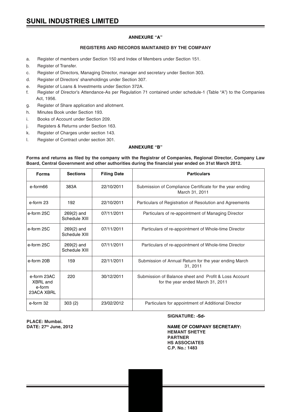# **ANNEXURE "A"**

# **REGISTERS AND RECORDS MAINTAINED BY THE COMPANY**

- a. Register of members under Section 150 and Index of Members under Section 151.
- b. Register of Transfer.
- c. Register of Directors, Managing Director, manager and secretary under Section 303.
- d. Register of Directors' shareholdings under Section 307.
- e. Register of Loans & Investments under Section 372A.
- f. Register of Director's Attendance-As per Regulation 71 contained under schedule-1 (Table "A") to the Companies Act, 1956.
- g. Register of Share application and allotment.
- h. Minutes Book under Section 193.
- i. Books of Account under Section 209.
- j. Registers & Returns under Section 163.
- k. Register of Charges under section 143.
- l. Register of Contract under section 301.

# **ANNEXURE "B"**

**Forms and returns as filed by the company with the Registrar of Companies, Regional Director, Company Law Board, Central Government and other authorities during the financial year ended on 31st March 2012.**

| <b>Forms</b>                                    | <b>Sections</b>               | <b>Filing Date</b> | <b>Particulars</b>                                                                         |
|-------------------------------------------------|-------------------------------|--------------------|--------------------------------------------------------------------------------------------|
| e-form66                                        | 383A                          | 22/10/2011         | Submission of Compliance Certificate for the year ending<br>March 31, 2011                 |
| e-form 23                                       | 192                           | 22/10/2011         | Particulars of Registration of Resolution and Agreements                                   |
| e-form 25C                                      | $269(2)$ and<br>Schedule XIII | 07/11/2011         | Particulars of re-appointment of Managing Director                                         |
| e-form 25C                                      | $269(2)$ and<br>Schedule XIII | 07/11/2011         | Particulars of re-appointment of Whole-time Director                                       |
| e-form 25C                                      | $269(2)$ and<br>Schedule XIII | 07/11/2011         | Particulars of re-appointment of Whole-time Director                                       |
| e-form 20B                                      | 159                           | 22/11/2011         | Submission of Annual Return for the year ending March<br>31, 2011                          |
| e-form 23AC<br>XBRL and<br>e-form<br>23ACA XBRL | 220                           | 30/12/2011         | Submission of Balance sheet and Profit & Loss Account<br>for the year ended March 31, 2011 |
| e-form 32                                       | 303(2)                        | 23/02/2012         | Particulars for appointment of Additional Director                                         |

**PLACE: Mumbai.**

#### **SIGNATURE: -Sd-**

**DATE: 27th June, 2012 NAME OF COMPANY SECRETARY: HEMANT SHETYE PARTNER HS ASSOCIATES C.P. No.: 1483**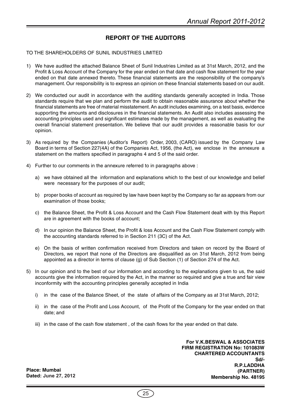# **REPORT OF THE AUDITORS**

# TO THE SHAREHOLDERS OF SUNIL INDUSTRIES LIMITED

- 1) We have audited the attached Balance Sheet of Sunil Industries Limited as at 31st March, 2012, and the Profit & Loss Account of the Company for the year ended on that date and cash flow statement for the year ended on that date annexed thereto. These financial statements are the responsibility of the company's management. Our responsibility is to express an opinion on these financial statements based on our audit.
- 2) We conducted our audit in accordance with the auditing standards generally accepted in India. Those standards require that we plan and perform the audit to obtain reasonable assurance about whether the financial statements are free of material misstatement. An audit includes examining, on a test basis, evidence supporting the amounts and disclosures in the financial statements. An Audit also includes assessing the accounting principles used and significant estimates made by the management, as well as evaluating the overall financial statement presentation. We believe that our audit provides a reasonable basis for our opinion.
- 3) As required by the Companies (Auditor's Report) Order, 2003, (CARO) issued by the Company Law Board in terms of Section 227(4A) of the Companies Act, 1956, (the Act), we enclose in the annexure a statement on the matters specified in paragraphs 4 and 5 of the said order.
- 4) Further to our comments in the annexure referred to in paragraphs above :
	- a) we have obtained all the information and explanations which to the best of our knowledge and belief were necessary for the purposes of our audit;
	- b) proper books of account as required by law have been kept by the Company so far as appears from our examination of those books;
	- c) the Balance Sheet, the Profit & Loss Account and the Cash Flow Statement dealt with by this Report are in agreement with the books of account;
	- d) In our opinion the Balance Sheet, the Profit & loss Account and the Cash Flow Statement comply with the accounting standards referred to in Section 211 (3C) of the Act.
	- e) On the basis of written confirmation received from Directors and taken on record by the Board of Directors, we report that none of the Directors are disqualified as on 31st March, 2012 from being appointed as a director in terms of clause (g) of Sub Section (1) of Section 274 of the Act.
- 5) In our opinion and to the best of our information and according to the explanations given to us, the said accounts give the information required by the Act, in the manner so required and give a true and fair view inconformity with the accounting principles generally accepted in India
	- i) in the case of the Balance Sheet, of the state of affairs of the Company as at 31st March, 2012;
	- ii) in the case of the Profit and Loss Account, of the Profit of the Company for the year ended on that date; and
	- iii) in the case of the cash flow statement , of the cash flows for the year ended on that date.

**For V.K.BESWAL & ASSOCIATES FIRM REGISTRATION No: 101083W CHARTERED ACCOUNTANTS Sd/- R.P.LADDHA (PARTNER) Membership No. 48195**

**Place: Mumbai Dated: June 27, 2012**

25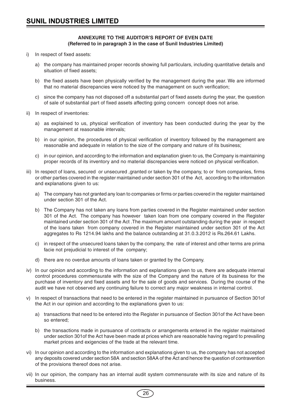# **ANNEXURE TO THE AUDITOR'S REPORT OF EVEN DATE (Referred to in paragraph 3 in the case of Sunil Industries Limited)**

- i) In respect of fixed assets:
	- a) the company has maintained proper records showing full particulars, including quantitative details and situation of fixed assets;
	- b) the fixed assets have been physically verified by the management during the year. We are informed that no material discrepancies were noticed by the management on such verification;
	- c) since the company has not disposed off a substantial part of fixed assets during the year, the question of sale of substantial part of fixed assets affecting going concern concept does not arise.
- ii) In respect of inventories:
	- a) as explained to us, physical verification of inventory has been conducted during the year by the management at reasonable intervals;
	- b) in our opinion, the procedures of physical verification of inventory followed by the management are reasonable and adequate in relation to the size of the company and nature of its business;
	- c) in our opinion, and according to the information and explanation given to us, the Company is maintaining proper records of its inventory and no material discrepancies were noticed on physical verification.
- iii) In respect of loans, secured or unsecured ,granted or taken by the company, to or from companies, firms or other parties covered in the register maintained under section 301 of the Act, according to the information and explanations given to us:
	- a) The company has not granted any loan to companies or firms or parties covered in the register maintained under section 301 of the Act.
	- b) The Company has not taken any loans from parties covered in the Register maintained under section 301 of the Act. The company has however taken loan from one company covered in the Register maintained under section 301 of the Act .The maximum amount outstanding during the year in respect of the loans taken from company covered in the Register maintained under section 301 of the Act aggregates to Rs 1214.94 lakhs and the balance outstanding at 31.0.3.2012 is Rs.264.61 Lakhs.
	- c) in respect of the unsecured loans taken by the company, the rate of interest and other terms are prima facie not prejudicial to interest of the company;
	- d) there are no overdue amounts of loans taken or granted by the Company.
- iv) In our opinion and according to the information and explanations given to us, there are adequate internal control procedures commensurate with the size of the Company and the nature of its business for the purchase of inventory and fixed assets and for the sale of goods and services. During the course of the audit we have not observed any continuing failure to correct any major weakness in internal control.
- v) In respect of transactions that need to be entered in the register maintained in pursuance of Section 301of the Act in our opinion and according to the explanations given to us:
	- a) transactions that need to be entered into the Register in pursuance of Section 301of the Act have been so entered;
	- b) the transactions made in pursuance of contracts or arrangements entered in the register maintained under section 301of the Act have been made at prices which are reasonable having regard to prevailing market prices and exigencies of the trade at the relevant time.
- vi) In our opinion and according to the information and explanations given to us, the company has not accepted any deposits covered under section 58A and section 58AA of the Act and hence the question of contravention of the provisions thereof does not arise.
- vii) In our opinion, the company has an internal audit system commensurate with its size and nature of its business.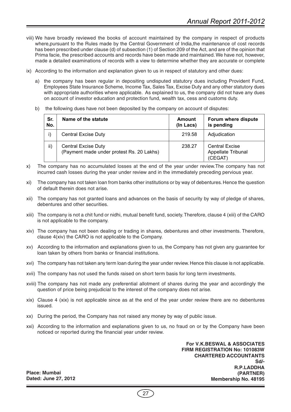- viii) We have broadly reviewed the books of account maintained by the company in respect of products where,pursuant to the Rules made by the Central Government of India,the maintenance of cost records has been prescribed under clause (d) of subsection (1) of Section 209 of the Act, and are of the opinion that Prima facie, the prescribed accounts and records have been made and maintained. We have not, however, made a detailed examinations of records with a view to determine whether they are accurate or complete
- ix) According to the information and explanation given to us in respect of statutory and other dues:
	- a) the company has been regular in depositing undisputed statutory dues including Provident Fund, Employees State Insurance Scheme, Income Tax, Sales Tax, Excise Duty and any other statutory dues with appropriate authorities where applicable. As explained to us, the company did not have any dues on account of investor education and protection fund, wealth tax, cess and customs duty.
	- b) the following dues have not been deposited by the company on account of disputes:

| Sr.<br>No. | Name of the statute                                                     | Amount<br>(In Lacs) | Forum where dispute<br>is pending                      |
|------------|-------------------------------------------------------------------------|---------------------|--------------------------------------------------------|
|            | <b>Central Excise Duty</b>                                              | 219.58              | Adjudication                                           |
| ii)        | <b>Central Excise Duty</b><br>(Payment made under protest Rs. 20 Lakhs) | 238.27              | <b>Central Excise</b><br>Appellate Tribunal<br>(CEGAT) |

- x) The company has no accumulated losses at the end of the year under review.The company has not incurred cash losses during the year under review and in the immediately preceding pervious year.
- xi) The company has not taken loan from banks other institutions or by way of debentures. Hence the question of default therein does not arise.
- xii) The company has not granted loans and advances on the basis of security by way of pledge of shares, debentures and other securities.
- xiii) The company is not a chit fund or nidhi, mutual benefit fund, society. Therefore, clause 4 (xiii) of the CARO is not applicable to the company.
- xiv) The company has not been dealing or trading in shares, debentures and other investments. Therefore, clause 4(xiv) the CARO is not applicable to the Company.
- xv) According to the information and explanations given to us, the Company has not given any guarantee for loan taken by others from banks or financial institutions.
- xvi) The company has not taken any term loan during the year under review. Hence this clause is not applicable.
- xvii) The company has not used the funds raised on short term basis for long term investments.
- xviii) The company has not made any preferential allotment of shares during the year and accordingly the question of price being prejudicial to the interest of the company does not arise.
- xix) Clause 4 (xix) is not applicable since as at the end of the year under review there are no debentures issued.
- xx) During the period, the Company has not raised any money by way of public issue.
- xxi) According to the information and explanations given to us, no fraud on or by the Company have been noticed or reported during the financial year under review.

**For V.K.BESWAL & ASSOCIATES FIRM REGISTRATION No: 101083W CHARTERED ACCOUNTANTS Sd/- R.P.LADDHA (PARTNER) Membership No. 48195**

**Place: Mumbai Dated: June 27, 2012**

27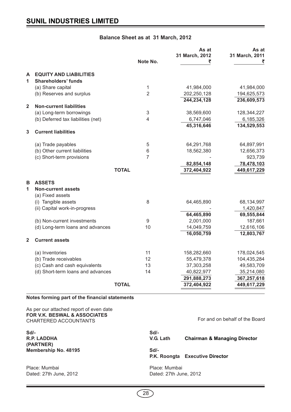# **Balance Sheet as at 31 March, 2012**

|                |                                    | Note No.       | As at<br>31 March, 2012<br>₹ | As at<br>31 March, 2011<br>₹ |
|----------------|------------------------------------|----------------|------------------------------|------------------------------|
| A              | <b>EQUITY AND LIABILITIES</b>      |                |                              |                              |
| $\mathbf{1}$   | <b>Shareholders' funds</b>         |                |                              |                              |
|                | (a) Share capital                  | 1              | 41,984,000                   | 41,984,000                   |
|                | (b) Reserves and surplus           | $\overline{2}$ | 202,250,128                  | 194,625,573                  |
|                |                                    |                | 244,234,128                  | 236,609,573                  |
| $\overline{2}$ | <b>Non-current liabilities</b>     |                |                              |                              |
|                | (a) Long-term borrowings           | 3              | 38,569,600                   | 128,344,227                  |
|                | (b) Deferred tax liabilities (net) | 4              | 6,747,046                    | 6,185,326                    |
|                |                                    |                | 45,316,646                   | 134,529,553                  |
| 3              | <b>Current liabilities</b>         |                |                              |                              |
|                | (a) Trade payables                 | 5              | 64,291,768                   | 64,897,991                   |
|                | (b) Other current liabilities      | 6              | 18,562,380                   | 12,656,373                   |
|                | (c) Short-term provisions          | $\overline{7}$ |                              | 923,739                      |
|                |                                    |                | 82,854,148                   | 78,478,103                   |
|                |                                    | <b>TOTAL</b>   | 372,404,922                  | 449,617,229                  |
| в              | <b>ASSETS</b>                      |                |                              |                              |
| 1              | <b>Non-current assets</b>          |                |                              |                              |
|                | (a) Fixed assets                   |                |                              |                              |
|                | (i) Tangible assets                | 8              | 64,465,890                   | 68,134,997                   |
|                | (ii) Capital work-in-progress      |                |                              | 1,420,847                    |
|                |                                    |                | 64,465,890                   | 69,555,844                   |
|                | (b) Non-current investments        | 9              | 2,001,000                    | 187,661                      |
|                | (d) Long-term loans and advances   | 10             | 14,049,759                   | 12,616,106                   |
|                |                                    |                | 16,050,759                   | 12,803,767                   |
| $\mathbf{2}$   | <b>Current assets</b>              |                |                              |                              |
|                | (a) Inventories                    | 11             | 158,282,660                  | 178,024,545                  |
|                | (b) Trade receivables              | 12             | 55,479,378                   | 104,435,284                  |
|                | (c) Cash and cash equivalents      | 13             | 37,303,258                   | 49,583,709                   |
|                | (d) Short-term loans and advances  | 14             | 40,822,977                   | 35,214,080                   |
|                |                                    |                | 291,888,273                  | 367,257,618                  |
|                |                                    | <b>TOTAL</b>   | 372,404,922                  | 449,617,229                  |

**Notes forming part of the financial statements**

As per our attached report of even date **FOR V.K. BESWAL & ASSOCIATES** CHARTERED ACCOUNTANTS

**(PARTNER)**

Dated: 27th June, 2012 **Dated: 27th June, 2012** 

For and on behalf of the Board

**Sd/- Sd/- R.P. LADDHA V.G. Lath Chairman & Managing Director Membership No. 48195 Sd/-P.K. Roongta Executive Director** Place: Mumbai Place: Mumbai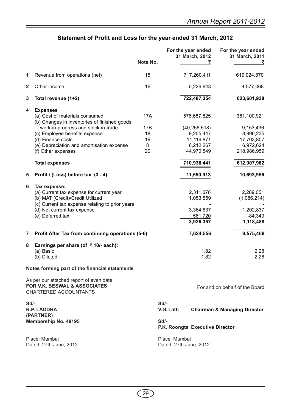| Statement of Profit and Loss for the year ended 31 March, 2012 |  |  |
|----------------------------------------------------------------|--|--|
|----------------------------------------------------------------|--|--|

|              |                                                                                                         | Note No.   |                                         | For the year ended<br>31 March, 2012<br>₹ | For the year ended<br>31 March, 2011    |
|--------------|---------------------------------------------------------------------------------------------------------|------------|-----------------------------------------|-------------------------------------------|-----------------------------------------|
| 1            | Revenue from operations (net)                                                                           | 15         |                                         | 717,260,411                               | 619,024,870                             |
| $\mathbf{2}$ | Other income                                                                                            | 16         |                                         | 5,226,943                                 | 4,577,068                               |
| 3            | Total revenue (1+2)                                                                                     |            |                                         | 722,487,354                               | 623,601,938                             |
| 4            | <b>Expenses</b><br>(a) Cost of materials consumed<br>(b) Changes in inventories of finished goods,      | <b>17A</b> |                                         | 576,687,825                               | 351,100,921                             |
|              | work-in-progress and stock-in-trade                                                                     | 17B        |                                         | (40, 256, 518)                            | 9,153,436                               |
|              | (c) Employee benefits expense                                                                           | 18         |                                         | 9,205,447                                 | 8,990,235                               |
|              | (d) Finance costs                                                                                       | 19         |                                         | 14,116,871                                | 17,703,807                              |
|              | (e) Depreciation and amortisation expense                                                               | 8          |                                         | 6,212,267                                 | 6,972,624                               |
|              | (f) Other expenses                                                                                      | 20         |                                         | 144,970,549                               | 218,986,959                             |
|              | <b>Total expenses</b>                                                                                   |            |                                         | 710,936,441                               | 612,907,982                             |
| 5            | Profit / (Loss) before tax (3 - 4)                                                                      |            |                                         | 11,550,913                                | 10,693,956                              |
| 6            | Tax expense:                                                                                            |            |                                         |                                           |                                         |
|              | (a) Current tax expense for current year                                                                |            |                                         | 2,311,078                                 | 2,289,051                               |
|              | (b) MAT (Credit)/Credit Utilized<br>(c) Current tax expense relating to prior years                     |            |                                         | 1,053,559                                 | (1,086,214)                             |
|              | (d) Net current tax expense                                                                             |            |                                         | 3,364,637                                 | 1,202,837                               |
|              | (e) Deferred tax                                                                                        |            |                                         | 561,720                                   | $-84,349$                               |
|              |                                                                                                         |            |                                         | 3,926,357                                 | 1,118,488                               |
| 7            | Profit After Tax from continuing operations (5-6)                                                       |            |                                         | 7,624,556                                 | 9,575,468                               |
| 8            | Earnings per share (of $\bar{\tau}$ 10/- each):                                                         |            |                                         |                                           |                                         |
|              | (a) Basic<br>(b) Diluted                                                                                |            |                                         | 1.82<br>1.82                              | 2.28<br>2.28                            |
|              | Notes forming part of the financial statements                                                          |            |                                         |                                           |                                         |
|              | As per our attached report of even date<br>FOR V.K. BESWAL & ASSOCIATES<br><b>CHARTERED ACCOUNTANTS</b> |            |                                         |                                           | For and on behalf of the Board          |
| Sd/-         | <b>R.P. LADDHA</b><br>(PARTNER)                                                                         |            | $Sd$ -<br>V.G. Lath                     |                                           | <b>Chairman &amp; Managing Director</b> |
|              | Membership No. 48195                                                                                    |            | Sd/-<br>P.K. Roongta Executive Director |                                           |                                         |
|              | Place: Mumbai<br>Dated: 27th June, 2012                                                                 |            | Place: Mumbai<br>Dated: 27th June, 2012 |                                           |                                         |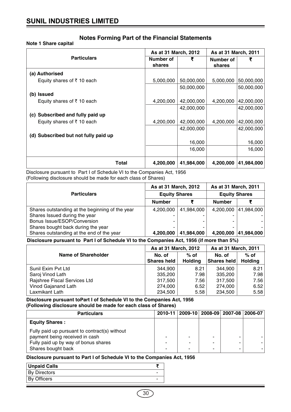# **Note 1 Share capital**

|                                      | As at 31 March, 2012 |            | As at 31 March, 2011 |            |  |
|--------------------------------------|----------------------|------------|----------------------|------------|--|
| <b>Particulars</b>                   | Number of<br>shares  | ₹          | Number of<br>shares  | ₹          |  |
| (a) Authorised                       |                      |            |                      |            |  |
| Equity shares of ₹10 each            | 5,000,000            | 50,000,000 | 5,000,000            | 50,000,000 |  |
|                                      |                      | 50,000,000 |                      | 50,000,000 |  |
| (b) Issued                           |                      |            |                      |            |  |
| Equity shares of ₹10 each            | 4,200,000            | 42,000,000 | 4,200,000            | 42,000,000 |  |
|                                      |                      | 42,000,000 |                      | 42,000,000 |  |
| (c) Subscribed and fully paid up     |                      |            |                      |            |  |
| Equity shares of ₹10 each            | 4,200,000            | 42,000,000 | 4,200,000            | 42,000,000 |  |
|                                      |                      | 42,000,000 |                      | 42,000,000 |  |
| (d) Subscribed but not fully paid up |                      |            |                      |            |  |
|                                      |                      | 16,000     |                      | 16,000     |  |
|                                      |                      | 16,000     |                      | 16,000     |  |
| Total                                | 4,200,000            | 41,984,000 | 4,200,000            | 41,984,000 |  |

Disclosure pursuant to Part I of Schedule VI to the Companies Act, 1956 (Following disclosure should be made for each class of Shares)

|                                                 | As at 31 March, 2012 |            | As at 31 March, 2011 |            |  |
|-------------------------------------------------|----------------------|------------|----------------------|------------|--|
| <b>Particulars</b>                              | <b>Equity Shares</b> |            | <b>Equity Shares</b> |            |  |
|                                                 | <b>Number</b>        |            | <b>Number</b>        |            |  |
| Shares outstanding at the beginning of the year | 4,200,000            | 41,984,000 | 4.200.000            | 41,984,000 |  |
| Shares Issued during the year                   | -                    |            |                      |            |  |
| Bonus Issue/ESOP/Conversion                     | -                    |            |                      |            |  |
| Shares bought back during the year              | ۰                    |            |                      |            |  |
| Shares outstanding at the end of the year       | 4,200,000            | 41,984,000 | 4,200,000            | 41,984,000 |  |

# **Disclosure pursuant to Part I of Schedule VI to the Companies Act, 1956 (if more than 5%)**

|                              | As at 31 March, 2012         |                          | As at 31 March, 2011  |                          |  |
|------------------------------|------------------------------|--------------------------|-----------------------|--------------------------|--|
| <b>Name of Shareholder</b>   | No. of<br><b>Shares held</b> | $%$ of<br><b>Holding</b> | No. of<br>Shares held | $%$ of<br><b>Holding</b> |  |
| Sunil Exim Pyt Ltd           | 344,900                      | 8.21                     | 344,900               | 8.21                     |  |
| Saroj Vinod Lath             | 335,200                      | 7.98                     | 335,200               | 7.98                     |  |
| Rajshree Fiscal Services Ltd | 317,500                      | 7.56                     | 317,500               | 7.56                     |  |
| Vinod Gajanand Lath          | 274,000                      | 6.52                     | 274,000               | 6.52                     |  |
| Laxmikant Lath               | 234,500                      | 5.58                     | 234,500               | 5.58                     |  |

**Disclosure pursuant toPart I of Schedule VI to the Companies Act, 1956 (Following disclosure should be made for each class of Shares)**

| <b>Particulars</b>                                                                                                                            |   | 2010-11   2009-10   2008-09   2007-08   2006-07 |                                    |  |
|-----------------------------------------------------------------------------------------------------------------------------------------------|---|-------------------------------------------------|------------------------------------|--|
| <b>Equity Shares:</b>                                                                                                                         |   |                                                 |                                    |  |
| Fully paid up pursuant to contract(s) without<br>payment being received in cash<br>Fully paid up by way of bonus shares<br>Shares bought back | ۰ | -<br>-                                          | ٠<br>$\overline{\phantom{0}}$<br>٠ |  |

# **Disclosure pursuant to Part I of Schedule VI to the Companies Act, 1956**

| <b>Unpaid Calls</b> |  |
|---------------------|--|
| <b>By Directors</b> |  |
| <b>By Officers</b>  |  |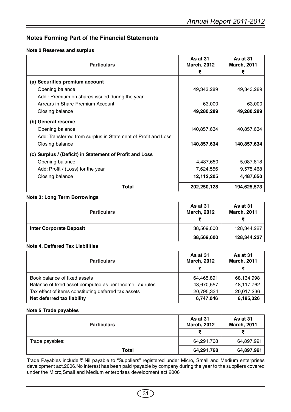# **Note 2 Reserves and surplus**

| <b>Particulars</b>                                            | As at 31<br><b>March, 2012</b> | As at 31<br><b>March, 2011</b> |
|---------------------------------------------------------------|--------------------------------|--------------------------------|
|                                                               | ₹                              |                                |
| (a) Securities premium account                                |                                |                                |
| Opening balance                                               | 49,343,289                     | 49,343,289                     |
| Add: Premium on shares issued during the year                 |                                |                                |
| Arrears in Share Premium Account                              | 63,000                         | 63,000                         |
| Closing balance                                               | 49,280,289                     | 49,280,289                     |
| (b) General reserve                                           |                                |                                |
| Opening balance                                               | 140,857,634                    | 140,857,634                    |
| Add: Transferred from surplus in Statement of Profit and Loss |                                |                                |
| Closing balance                                               | 140,857,634                    | 140,857,634                    |
| (c) Surplus / (Deficit) in Statement of Profit and Loss       |                                |                                |
| Opening balance                                               | 4,487,650                      | $-5,087,818$                   |
| Add: Profit / (Loss) for the year                             | 7,624,556                      | 9,575,468                      |
| Closing balance                                               | 12,112,205                     | 4,487,650                      |
| Total                                                         | 202,250,128                    | 194,625,573                    |

# **Note 3: Long Term Borrowings**

| <b>Particulars</b>             | As at 31<br><b>March, 2012</b> | As at 31<br><b>March, 2011</b> |  |
|--------------------------------|--------------------------------|--------------------------------|--|
|                                |                                |                                |  |
| <b>Inter Corporate Deposit</b> | 38,569,600                     | 128,344,227                    |  |
|                                | 38,569,600                     | 128,344,227                    |  |

# **Note 4. Deffered Tax Liabilities**

| <b>Particulars</b>                                      | As at 31<br><b>March, 2012</b> | As at 31<br><b>March, 2011</b> |
|---------------------------------------------------------|--------------------------------|--------------------------------|
|                                                         |                                |                                |
| Book balance of fixed assets                            | 64,465,891                     | 68,134,998                     |
| Balance of fixed asset computed as per Income Tax rules | 43,670,557                     | 48,117,762                     |
| Tax effect of items constituting deferred tax assets    | 20,795,334                     | 20,017,236                     |
| Net deferred tax liability                              | 6,747,046                      | 6,185,326                      |

# **Note 5 Trade payables**

| <b>Particulars</b> | As at 31<br><b>March, 2012</b> | As at 31<br><b>March, 2011</b> |  |
|--------------------|--------------------------------|--------------------------------|--|
|                    |                                |                                |  |
| Trade payables:    | 64,291,768                     | 64,897,991                     |  |
| <b>Total</b>       | 64,291,768                     | 64,897,991                     |  |

Trade Payables include ₹ Nil payable to "Suppliers" registered under Micro, Small and Medium enterprises development act,2006.No interest has been paid /payable by company during the year to the suppliers covered under the Micro,Small and Medium enterprises development act,2006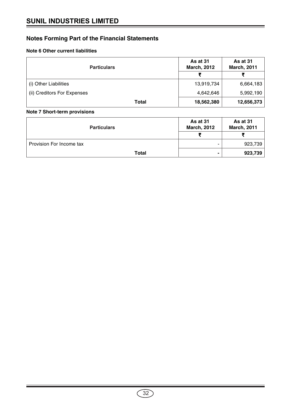# **Note 6 Other current liabilities**

| <b>Particulars</b>          | As at 31<br><b>March, 2012</b> | As at 31<br><b>March, 2011</b> |
|-----------------------------|--------------------------------|--------------------------------|
|                             | ₹                              |                                |
| (i) Other Liabilities       | 13,919,734                     | 6,664,183                      |
| (ii) Creditors For Expenses | 4,642,646                      | 5,992,190                      |
| Total                       | 18,562,380                     | 12,656,373                     |

# **Note 7 Short-term provisions**

| <b>Particulars</b>       | As at 31<br><b>March, 2012</b> | As at 31<br><b>March, 2011</b> |  |
|--------------------------|--------------------------------|--------------------------------|--|
|                          |                                |                                |  |
| Provision For Income tax | ۰                              | 923,739                        |  |
| Total                    |                                | 923,739                        |  |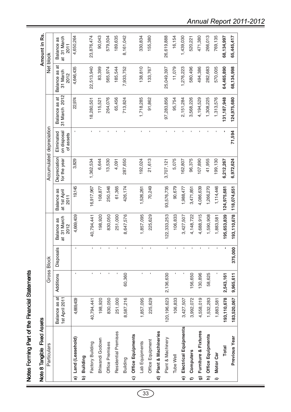| j<br>٦                          |
|---------------------------------|
| $\frac{1}{2}$<br>$\overline{a}$ |
| ١                               |
|                                 |

| í<br>п<br>ĭ<br>j |  |
|------------------|--|
|                  |  |
|                  |  |
|                  |  |

|               | Note 8 Tangible Fixed Assets |                                 |              |                           |                                   |                                    |                              |                                        |                                |                                     | Amount in Rs.                     |
|---------------|------------------------------|---------------------------------|--------------|---------------------------|-----------------------------------|------------------------------------|------------------------------|----------------------------------------|--------------------------------|-------------------------------------|-----------------------------------|
|               | Particulars                  |                                 |              | Gross Block               |                                   |                                    |                              | Accumulated depreciation               |                                |                                     | Net block                         |
|               |                              | Balance as at<br>1st April 2011 | Additions    | <b>Disposals</b>          | at 31 March<br>Balance as<br>2012 | Balance as<br>at 1st April<br>2011 | Depreciation<br>for the year | on disposal<br>Eliminated<br>of assets | 31 March 2012<br>Balance as at | ಕ<br>Balance as<br>31 March<br>2012 | at 31 March<br>Balance as<br>2011 |
| ଳ             | Land (Leasehold)             | 4,669,409                       | $\mathbf{I}$ |                           | 4,669,409                         | 19,145                             | 3,829                        |                                        | 22,974                         | 4,646,435                           | 4,650,264                         |
| <u>ଚ</u>      | Building                     |                                 |              |                           |                                   |                                    |                              |                                        |                                |                                     |                                   |
|               | Factory Building             | 40,794,441                      | $\mathbf{I}$ |                           | 40,794,441                        | 16,917,967                         | 1,362,534                    |                                        | 18,280,501                     | 22,513,940                          | 23,876,474                        |
|               | Bhiwandi Godown              | 198,920                         |              |                           | 198,920                           | 108,877                            | 6,644                        |                                        | 115,521                        | 83,399                              | 90,043                            |
|               | Office Premises              | 830,050                         |              |                           | 830,050                           | 250,546                            | 13,530                       |                                        | 264,076                        | 565,974                             | 579,504                           |
|               | Residential Premises         | 251,000                         |              |                           | 251,000                           | 61,365                             | 4,091                        |                                        | 65,456                         | 185,544                             | 189,635                           |
|               | Building                     | 8,587,216                       | 60,360       |                           | 8,647,576                         | 426,174                            | 287,650                      |                                        | 713,824                        | 7,933,752                           | 8,161,042                         |
|               | c) Office Equipments         |                                 |              |                           |                                   |                                    |                              |                                        |                                |                                     |                                   |
|               | Lab Equipments               | 1,857,095                       | $\mathbf{r}$ |                           | 1,857,095                         | 1,526,261                          | 192,024                      |                                        | 1,718,285                      | 138,810                             | 330,834                           |
|               | Office Equipment             | 225,629                         | f,           |                           | 225,629                           | 70,249                             | 21,613                       |                                        | 91,862                         | 133,767                             | 155,380                           |
| ਰ             | Plant & Machineries          |                                 |              |                           |                                   |                                    |                              |                                        |                                |                                     |                                   |
|               | Plant & Machinery            | 120, 196, 623                   | 2,136,630    |                           | 122,333,253                       | 93,576,735                         | 3,707,121                    |                                        | 97,283,856                     | 25,049,397                          | 26,619,888                        |
|               | Tube Well                    | 106,833                         |              |                           | 106,833                           | 90,679                             | 5,075                        |                                        | 95,754                         | 11,079                              | 16,154                            |
| ම             | Electrical Equipments        | 3,427,507                       |              |                           | 3,427,507                         | 1,988,477                          | 162,807                      |                                        | 2,151,284                      | 1,276,223                           | 1,439,030                         |
| €             | Computers                    | 3,992,072                       | 156,650      |                           | 4,148,722                         | 3,471,851                          | 96,375                       |                                        | 3,568,226                      | 580,496                             | 520,221                           |
| ີດ            | Furniture & Fixtures         | 4,558,019                       | 130,896      |                           | 4,688,915                         | 4,086,639                          | 107,890                      |                                        | 4,194,529                      | 494,386                             | 471,380                           |
|               | h) Office Equipments         | 1,532,283                       | 58,625       |                           | 1,590,908                         | 1,266,270                          | 41,955                       |                                        | 1,308,225                      | 282,683                             | 266,013                           |
| $\Rightarrow$ | <b>Motor Car</b>             | 1,883,581                       |              |                           | 1,883,581                         | 1,114,446                          | 199,130                      |                                        | 1,313,576                      | 570,005                             | 769,135                           |
|               | <b>Total</b>                 | 193,110,678                     | 2,543,161    |                           | 95,653,839                        | 124,975,681                        | 6,212,267                    |                                        | 131, 187, 948                  | 64,465,890                          | 68,134,997                        |
|               | Previous Year                | 183,520,067                     | 9,965,611    | $\overline{000}$<br>375,0 | 193,110,678                       | 118,074,651                        | 6,972,624                    | 71,594                                 | 124,975,680                    | 68,134,998                          | 65,445,417                        |

*Annual Report 2011-2012*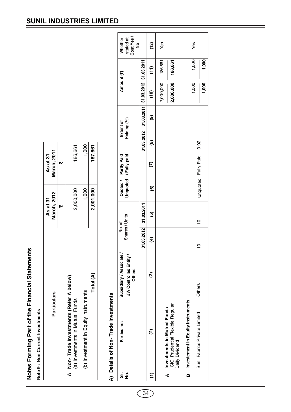Notes Forming Part of the Financial Statements **Notes Forming Part of the Financial Statements**

Note 9 : Non Current Investments **Note 9 : Non Current Investments**

| <b>Particulars</b>                                                         | March, 2012<br>As at 31 | March, 2011<br>As at 31 |
|----------------------------------------------------------------------------|-------------------------|-------------------------|
|                                                                            |                         |                         |
| A Non-Trade Investments (Refer A below)<br>(a) Investments in Mutual Funds | 2,000,000               | 186,661                 |
|                                                                            |                         |                         |
| (b) Investment in Equity instruments                                       | 1,000                   | 1,000                   |
| Total (A)                                                                  | 2,001,000               | 187,661                 |

# A) Details of Non-Trade Investments **A) Details of Non- Trade Investments**

|  | Cost Yes<br>stated at<br>Whether<br>ž<br>Amount (₹)<br>Holding (%)<br><b>Extent of</b><br>Unquoted   / Fully paid<br>Quoted / Partly Paid<br>Shares / Units<br>No. of | $31.03.2012$   $31.03.2011$   $31.03.2012$   $31.03.2011$<br>31.03.2012 31.03.2011 | (12)<br>$\widehat{t}$<br>$\widehat{c}$<br>ම<br>ම<br>$\widehat{\epsilon}$<br>$\widehat{\mathbf{e}}$<br>ම<br>E | Yes<br>186,661<br>2,000,000 | 186,661<br>2,000,000                                                                     |                                   | Yes<br>1,000<br>1,000<br>0.02<br>Unquoted   Fully Paid<br>$\frac{1}{2}$<br>$\frac{1}{1}$ | 1,000<br>1,000 |
|--|-----------------------------------------------------------------------------------------------------------------------------------------------------------------------|------------------------------------------------------------------------------------|--------------------------------------------------------------------------------------------------------------|-----------------------------|------------------------------------------------------------------------------------------|-----------------------------------|------------------------------------------------------------------------------------------|----------------|
|  |                                                                                                                                                                       |                                                                                    |                                                                                                              |                             |                                                                                          |                                   |                                                                                          |                |
|  |                                                                                                                                                                       |                                                                                    |                                                                                                              |                             |                                                                                          |                                   |                                                                                          |                |
|  |                                                                                                                                                                       |                                                                                    |                                                                                                              |                             |                                                                                          |                                   |                                                                                          |                |
|  |                                                                                                                                                                       |                                                                                    |                                                                                                              |                             |                                                                                          |                                   |                                                                                          |                |
|  | JV/ Controlled Entity /<br>Subsidiary / Associate<br><b>Others</b>                                                                                                    |                                                                                    | ම                                                                                                            |                             |                                                                                          |                                   | Others                                                                                   |                |
|  | <b>Particulars</b>                                                                                                                                                    |                                                                                    | ହ                                                                                                            |                             | <b>CICI Prudential Flexible Regular</b><br>Investments in Mutual Funds<br>Daily Dividend | Investement in Equity Instruments | Sunil Fabrics Private Limited                                                            |                |
|  | ູ່<br>ຜູ້ <u>9</u>                                                                                                                                                    |                                                                                    | Ξ                                                                                                            |                             | ∢                                                                                        | m                                 |                                                                                          |                |

# **SUNIL INDUSTRIES LIMITED**

34)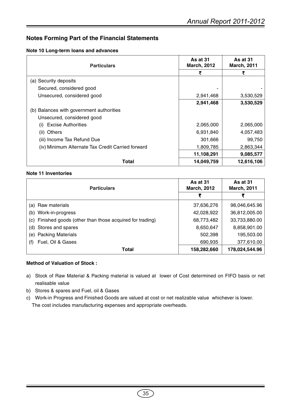# **Note 10 Long-term loans and advances**

| <b>Particulars</b>                                | As at 31<br><b>March, 2012</b> | As at 31<br><b>March, 2011</b> |
|---------------------------------------------------|--------------------------------|--------------------------------|
|                                                   | ₹                              | ₹                              |
| (a) Security deposits                             |                                |                                |
| Secured, considered good                          |                                |                                |
| Unsecured, considered good                        | 2,941,468                      | 3,530,529                      |
|                                                   | 2,941,468                      | 3,530,529                      |
| (b) Balances with government authorities          |                                |                                |
| Unsecured, considered good                        |                                |                                |
| <b>Excise Authorities</b><br>(i)                  | 2,065,000                      | 2,065,000                      |
| Others<br>(ii)                                    | 6,931,840                      | 4,057,483                      |
| (iii) Income Tax Refund Due                       | 301,666                        | 99,750                         |
| (iv) Minimum Alternate Tax Credit Carried forward | 1,809,785                      | 2,863,344                      |
|                                                   | 11,108,291                     | 9,085,577                      |
| Total                                             | 14,049,759                     | 12,616,106                     |

# **Note 11 Inventories**

| <b>Particulars</b>                                            | As at 31<br><b>March, 2012</b> | As at 31<br><b>March, 2011</b> |
|---------------------------------------------------------------|--------------------------------|--------------------------------|
|                                                               | ₹                              | ₹                              |
| (a) Raw materials                                             | 37,636,276                     | 98,046,645.96                  |
| Work-in-progress<br>(b)                                       | 42,028,922                     | 36,812,005.00                  |
| Finished goods (other than those acquired for trading)<br>(c) | 68,773,482                     | 33,733,880.00                  |
| (d) Stores and spares                                         | 8,650,647                      | 8,858,901.00                   |
| <b>Packing Materials</b><br>(e)                               | 502,398                        | 195,503.00                     |
| Fuel, Oil & Gases<br>(f)                                      | 690,935                        | 377,610.00                     |
| <b>Total</b>                                                  | 158,282,660                    | 178,024,544.96                 |

# **Method of Valuation of Stock :**

- a) Stock of Raw Material & Packing material is valued at lower of Cost determined on FIFO basis or net realisable value
- b) Stores & spares and Fuel, oil & Gases
- c) Work-in Progress and Finished Goods are valued at cost or net realizable value whichever is lower. The cost includes manufacturing expenses and appropriate overheads.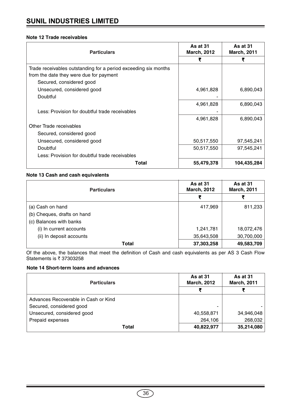# **Note 12 Trade receivables**

| <b>Particulars</b>                                                                                         | As at 31<br><b>March, 2012</b> | As at 31<br><b>March, 2011</b> |
|------------------------------------------------------------------------------------------------------------|--------------------------------|--------------------------------|
|                                                                                                            | ₹                              | ₹                              |
| Trade receivables outstanding for a period exceeding six months<br>from the date they were due for payment |                                |                                |
| Secured, considered good                                                                                   |                                |                                |
| Unsecured, considered good                                                                                 | 4,961,828                      | 6,890,043                      |
| Doubtful                                                                                                   |                                |                                |
|                                                                                                            | 4,961,828                      | 6,890,043                      |
| Less: Provision for doubtful trade receivables                                                             |                                |                                |
|                                                                                                            | 4,961,828                      | 6,890,043                      |
| Other Trade receivables                                                                                    |                                |                                |
| Secured, considered good                                                                                   |                                |                                |
| Unsecured, considered good                                                                                 | 50,517,550                     | 97,545,241                     |
| Doubtful                                                                                                   | 50,517,550                     | 97,545,241                     |
| Less: Provision for doubtful trade receivables                                                             |                                |                                |
| Total                                                                                                      | 55,479,378                     | 104,435,284                    |

# **Note 13 Cash and cash equivalents**

| <b>Particulars</b>          | As at 31<br><b>March, 2012</b> | <b>As at 31</b><br><b>March, 2011</b> |
|-----------------------------|--------------------------------|---------------------------------------|
|                             | ₹                              | ₹                                     |
| (a) Cash on hand            | 417,969                        | 811,233                               |
| (b) Cheques, drafts on hand |                                |                                       |
| (c) Balances with banks     |                                |                                       |
| (i) In current accounts     | 1,241,781                      | 18,072,476                            |
| (ii) In deposit accounts    | 35,643,508                     | 30,700,000                            |
| Total                       | 37,303,258                     | 49,583,709                            |

Of the above, the balances that meet the definition of Cash and cash equivalents as per AS 3 Cash Flow Statements is  $\bar{\tau}$  37303258

# **Note 14 Short-term loans and advances**

| <b>Particulars</b>                   | As at 31<br><b>March, 2012</b> | As at 31<br><b>March, 2011</b> |
|--------------------------------------|--------------------------------|--------------------------------|
|                                      |                                |                                |
| Advances Recoverable in Cash or Kind |                                |                                |
| Secured, considered good             | -                              |                                |
| Unsecured, considered good           | 40,558,871                     | 34,946,048                     |
| Prepaid expenses                     | 264,106                        | 268,032                        |
| Total                                | 40,822,977                     | 35,214,080                     |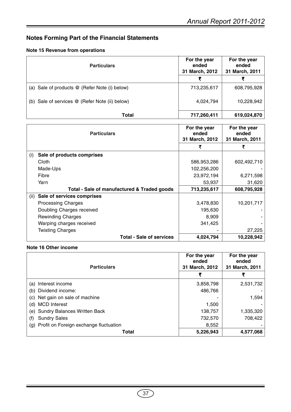# **Note 15 Revenue from operations**

| <b>Particulars</b>                             | For the year<br>ended<br>31 March, 2012 | For the year<br>ended<br>31 March, 2011 |
|------------------------------------------------|-----------------------------------------|-----------------------------------------|
|                                                | ₹                                       |                                         |
| (a) Sale of products @ (Refer Note (i) below)  | 713,235,617                             | 608,795,928                             |
| (b) Sale of services @ (Refer Note (ii) below) | 4,024,794                               | 10,228,942                              |
| Total                                          | 717,260,411                             | 619,024,870                             |

| <b>Particulars</b>                          | For the year<br>ended<br>31 March, 2012 | For the year<br>ended<br>31 March, 2011 |
|---------------------------------------------|-----------------------------------------|-----------------------------------------|
|                                             | ₹                                       | ₹                                       |
| Sale of products comprises<br>(i)           |                                         |                                         |
| Cloth                                       | 586,953,286                             | 602,492,710                             |
| Made-Ups                                    | 102,256,200                             |                                         |
| Fibre                                       | 23,972,194                              | 6,271,598                               |
| Yarn                                        | 53,937                                  | 31,620                                  |
| Total - Sale of manufactured & Traded goods | 713,235,617                             | 608,795,928                             |
| Sale of services comprises<br>(ii)          |                                         |                                         |
| <b>Processing Charges</b>                   | 3,478,830                               | 10,201,717                              |
| Doubling Charges received                   | 195,630                                 |                                         |
| <b>Rewinding Charges</b>                    | 8,909                                   |                                         |
| Warping charges received                    | 341,425                                 |                                         |
| <b>Twisting Charges</b>                     |                                         | 27,225                                  |
| <b>Total - Sale of services</b>             | 4,024,794                               | 10,228,942                              |

# **Note 16 Other income**

| <b>Particulars</b>                         | For the year<br>ended<br>31 March, 2012 | For the year<br>ended<br>31 March, 2011 |
|--------------------------------------------|-----------------------------------------|-----------------------------------------|
|                                            | ₹                                       | ₹                                       |
| Interest income<br>(a)                     | 3,858,798                               | 2,531,732                               |
| Dividend income:<br>(b)                    | 486.766                                 |                                         |
| Net gain on sale of machine<br>(C)         |                                         | 1,594                                   |
| <b>MCD</b> Interest<br>(d)                 | 1,500                                   |                                         |
| <b>Sundry Balances Written Back</b><br>(e) | 138,757                                 | 1,335,320                               |
| <b>Sundry Sales</b><br>(f)                 | 732,570                                 | 708,422                                 |
| (g) Profit on Foreign exchange fluctuation | 8,552                                   |                                         |
| Total                                      | 5,226,943                               | 4,577,068                               |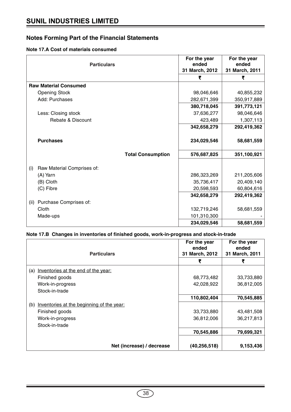# **Note 17.A Cost of materials consumed**

| <b>Particulars</b>                | For the year<br>ended<br>31 March, 2012 | For the year<br>ended<br>31 March, 2011 |
|-----------------------------------|-----------------------------------------|-----------------------------------------|
|                                   | ₹                                       | ₹                                       |
| <b>Raw Material Consumed</b>      |                                         |                                         |
| <b>Opening Stock</b>              | 98,046,646                              | 40,855,232                              |
| Add: Purchases                    | 282,671,399                             | 350,917,889                             |
|                                   | 380,718,045                             | 391,773,121                             |
| Less: Closing stock               | 37,636,277                              | 98,046,646                              |
| Rebate & Discount                 | 423,489                                 | 1,307,113                               |
|                                   | 342,658,279                             | 292,419,362                             |
| <b>Purchases</b>                  | 234,029,546                             | 58,681,559                              |
|                                   | 576,687,825<br><b>Total Consumption</b> | 351,100,921                             |
| (i)<br>Raw Material Comprises of: |                                         |                                         |
| (A) Yarn                          | 286,323,269                             | 211,205,606                             |
| (B) Cloth                         | 35,736,417                              | 20,409,140                              |
| (C) Fibre                         | 20,598,593                              | 60,804,616                              |
|                                   | 342,658,279                             | 292,419,362                             |
| Purchase Comprises of:<br>(ii)    |                                         |                                         |
| Cloth                             | 132,719,246                             | 58,681,559                              |
| Made-ups                          | 101,310,300                             |                                         |
|                                   | 234,029,546                             | 58,681,559                              |

# **Note 17.B Changes in inventories of finished goods, work-in-progress and stock-in-trade**

| <b>Particulars</b>                               | For the year<br>ended<br>31 March, 2012 | For the year<br>ended<br>31 March, 2011 |
|--------------------------------------------------|-----------------------------------------|-----------------------------------------|
|                                                  | ₹                                       | ₹                                       |
| Inventories at the end of the year:<br>(a)       |                                         |                                         |
| Finished goods                                   | 68,773,482                              | 33,733,880                              |
| Work-in-progress                                 | 42,028,922                              | 36,812,005                              |
| Stock-in-trade                                   |                                         |                                         |
|                                                  | 110,802,404                             | 70,545,885                              |
| Inventories at the beginning of the year:<br>(b) |                                         |                                         |
| Finished goods                                   | 33,733,880                              | 43,481,508                              |
| Work-in-progress                                 | 36,812,006                              | 36,217,813                              |
| Stock-in-trade                                   |                                         |                                         |
|                                                  | 70,545,886                              | 79,699,321                              |
| Net (increase) / decrease                        | (40, 256, 518)                          | 9,153,436                               |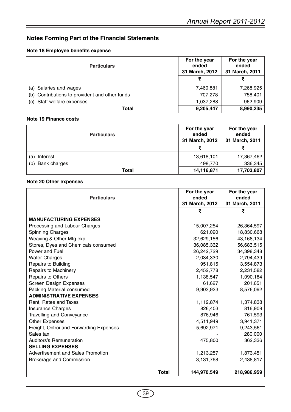# **Note 18 Employee benefits expense**

| <b>Particulars</b>                             | For the year<br>ended<br>31 March, 2012 | For the year<br>ended<br>31 March, 2011 |
|------------------------------------------------|-----------------------------------------|-----------------------------------------|
|                                                | ₹                                       |                                         |
| (a) Salaries and wages                         | 7,460,881                               | 7,268,925                               |
| (b) Contributions to provident and other funds | 707.278                                 | 758,401                                 |
| (c) Staff welfare expenses                     | 1,037,288                               | 962,909                                 |
| Total                                          | 9,205,447                               | 8,990,235                               |

# **Note 19 Finance costs**

| <b>Particulars</b>  | For the year<br>ended<br>31 March, 2012 | For the year<br>ended<br>31 March, 2011 |
|---------------------|-----------------------------------------|-----------------------------------------|
|                     | ₹                                       | ₹                                       |
| Interest<br>(a)     | 13,618,101                              | 17,367,462                              |
| Bank charges<br>(b) | 498,770                                 | 336,345                                 |
| Total               | 14,116,871                              | 17,703,807                              |

# **Note 20 Other expenses**

| <b>Particulars</b>                       |              | For the year<br>ended<br>31 March, 2012 | For the year<br>ended<br>31 March, 2011 |
|------------------------------------------|--------------|-----------------------------------------|-----------------------------------------|
|                                          |              | ₹                                       | ₹                                       |
| <b>MANUFACTURING EXPENSES</b>            |              |                                         |                                         |
| Processing and Labour Charges            |              | 15,007,254                              | 26,364,597                              |
| Spinning Charges                         |              | 621,090                                 | 18,830,668                              |
| Weaving & Other Mfg exp                  |              | 32,629,156                              | 43, 168, 134                            |
| Stores, Dyes and Chemicals consumed      |              | 36,085,332                              | 56,683,515                              |
| Power and Fuel                           |              | 26,242,729                              | 34,398,348                              |
| <b>Water Charges</b>                     |              | 2,034,330                               | 2,794,439                               |
| <b>Repairs to Building</b>               |              | 951,815                                 | 3,554,873                               |
| Repairs to Machinery                     |              | 2,452,778                               | 2,231,582                               |
| Repairs to Others                        |              | 1,138,547                               | 1,090,184                               |
| <b>Screen Design Expenses</b>            |              | 61,627                                  | 201,651                                 |
| Packing Material consumed                |              | 9,903,923                               | 8,576,092                               |
| <b>ADMINISTRATIVE EXPENSES</b>           |              |                                         |                                         |
| Rent, Rates and Taxes                    |              | 1,112,874                               | 1,374,838                               |
| Insurance Charges                        |              | 826,403                                 | 816,909                                 |
| <b>Travelling and Conveyance</b>         |              | 876,946                                 | 761,593                                 |
| <b>Other Expenses</b>                    |              | 4,511,949                               | 3,941,371                               |
| Freight, Octroi and Forwarding Expenses  |              | 5,692,971                               | 9,243,561                               |
| Sales tax                                |              |                                         | 280,000                                 |
| <b>Auditors's Remuneration</b>           |              | 475,800                                 | 362,336                                 |
| <b>SELLING EXPENSES</b>                  |              |                                         |                                         |
| <b>Advertisement and Sales Promotion</b> |              | 1,213,257                               | 1,873,451                               |
| Brokerage and Commission                 |              | 3,131,768                               | 2,438,817                               |
|                                          | <b>Total</b> | 144,970,549                             | 218,986,959                             |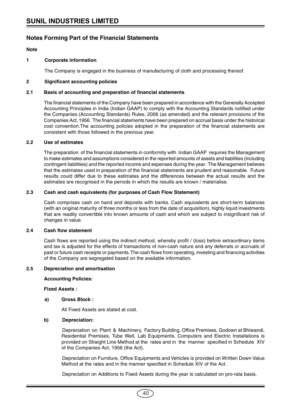**Note**

# **1 Corporate information**

The Company is engaged in the business of manufacturing of cloth and processing thereof.

# **2 Significant accounting policies**

# **2.1 Basis of accounting and preparation of financial statements**

The financial statements of the Company have been prepared in accordance with the Generally Accepted Accounting Principles in India (Indian GAAP) to comply with the Accounting Standards notified under the Companies (Accounting Standards) Rules, 2006 (as amended) and the relevant provisions of the Companies Act, 1956. The financial statements have been prepared on accrual basis under the historical cost convention.The accounting policies adopted in the preparation of the financial statements are consistent with those followed in the previous year.

# **2.2 Use of estimates**

The preparation of the financial statements in conformity with Indian GAAP requires the Management to make estimates and assumptions considered in the reported amounts of assets and liabilities (including contingent liabilities) and the reported income and expenses during the year. The Management believes that the estimates used in preparation of the financial statements are prudent and reasonable. Future results could differ due to these estimates and the differences between the actual results and the estimates are recognised in the periods in which the results are known / materialise.

# **2.3 Cash and cash equivalents (for purposes of Cash Flow Statement)**

Cash comprises cash on hand and deposits with banks. Cash equivalents are short-term balances (with an original maturity of three months or less from the date of acquisition), highly liquid investments that are readily convertible into known amounts of cash and which are subject to insignificant risk of changes in value.

# **2.4 Cash flow statement**

Cash flows are reported using the indirect method, whereby profit / (loss) before extraordinary items and tax is adjusted for the effects of transactions of non-cash nature and any deferrals or accruals of past or future cash receipts or payments. The cash flows from operating, investing and financing activities of the Company are segregated based on the available information.

# **2.5 Depreciation and amortisation**

# **Accounting Policies:**

# **Fixed Assets :**

# **a) Gross Block :**

All Fixed Assets are stated at cost.

# **b) Depreciation:**

Depreciation on Plant & Machinery, Factory Building, Office Premises, Godown at Bhiwandi, Residential Premises, Tube Well, Lab Equipments, Computers and Electric Installations is provided on Straight Line Method at the rates and in the manner specified in Schedule XIV of the Companies Act, 1956 (the Act).

Depreciation on Furniture, Office Equipments and Vehicles is provided on Written Down Value Method at the rates and in the manner specified in Schedule XIV of the Act.

Depreciation on Additions to Fixed Assets during the year is calculated on pro-rata basis.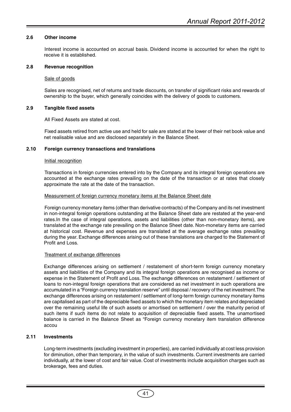# **2.6 Other income**

Interest income is accounted on accrual basis. Dividend income is accounted for when the right to receive it is established.

# **2.8 Revenue recognition**

# Sale of goods

Sales are recognised, net of returns and trade discounts, on transfer of significant risks and rewards of ownership to the buyer, which generally coincides with the delivery of goods to customers.

# **2.9 Tangible fixed assets**

All Fixed Assets are stated at cost.

Fixed assets retired from active use and held for sale are stated at the lower of their net book value and net realisable value and are disclosed separately in the Balance Sheet.

# **2.10 Foreign currency transactions and translations**

# Initial recognition

Transactions in foreign currencies entered into by the Company and its integral foreign operations are accounted at the exchange rates prevailing on the date of the transaction or at rates that closely approximate the rate at the date of the transaction.

# Measurement of foreign currency monetary items at the Balance Sheet date

Foreign currency monetary items (other than derivative contracts) of the Company and its net investment in non-integral foreign operations outstanding at the Balance Sheet date are restated at the year-end rates.In the case of integral operations, assets and liabilities (other than non-monetary items), are translated at the exchange rate prevailing on the Balance Sheet date. Non-monetary items are carried at historical cost. Revenue and expenses are translated at the average exchange rates prevailing during the year. Exchange differences arising out of these translations are charged to the Statement of Profit and Loss.

# Treatment of exchange differences

Exchange differences arising on settlement / restatement of short-term foreign currency monetary assets and liabilities of the Company and its integral foreign operations are recognised as income or expense in the Statement of Profit and Loss. The exchange differences on restatement / settlement of loans to non-integral foreign operations that are considered as net investment in such operations are accumulated in a "Foreign currency translation reserve" until disposal / recovery of the net investment.The exchange differences arising on restatement / settlement of long-term foreign currency monetary items are capitalised as part of the depreciable fixed assets to which the monetary item relates and depreciated over the remaining useful life of such assets or amortised on settlement / over the maturity period of such items if such items do not relate to acquisition of depreciable fixed assets. The unamortised balance is carried in the Balance Sheet as "Foreign currency monetary item translation difference accou

# **2.11 Investments**

Long-term investments (excluding investment in properties), are carried individually at cost less provision for diminution, other than temporary, in the value of such investments. Current investments are carried individually, at the lower of cost and fair value. Cost of investments include acquisition charges such as brokerage, fees and duties.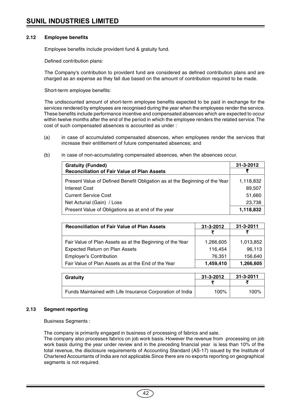# **2.12 Employee benefits**

Employee benefits include provident fund & gratuity fund.

Defined contribution plans:

The Company's contribution to provident fund are considered as defined contribution plans and are charged as an expense as they fall due based on the amount of contribution required to be made.

Short-term employee benefits:

The undiscounted amount of short-term employee benefits expected to be paid in exchange for the services rendered by employees are recognised during the year when the employees render the service. These benefits include performance incentive and compensated absences which are expected to occur within twelve months after the end of the period in which the employee renders the related service. The cost of such compensated absences is accounted as under :

- (a) in case of accumulated compensated absences, when employees render the services that increase their entitlement of future compensated absences; and
- (b) in case of non-accumulating compensated absences, when the absences occur.

| <b>Gratuity (Funded)</b>                                                    | $31 - 3 - 2012$ |
|-----------------------------------------------------------------------------|-----------------|
| <b>Reconciliation of Fair Value of Plan Assets</b>                          |                 |
| Present Value of Defined Benefit Obligation as at the Beginning of the Year | 1,118,832       |
| Interest Cost                                                               | 89,507          |
| <b>Current Service Cost</b>                                                 | 51,660          |
| Net Acturial (Gain) / Loss                                                  | 23,738          |
| Present Value of Obligations as at end of the year                          | 1,118,832       |

| <b>Reconciliation of Fair Value of Plan Assets</b>        | $31 - 3 - 2012$ | $31 - 3 - 2011$ |
|-----------------------------------------------------------|-----------------|-----------------|
|                                                           |                 |                 |
| Fair Value of Plan Assets as at the Beginning of the Year | 1,266,605       | 1,013,852       |
| <b>Expected Return on Plan Assets</b>                     | 116,454         | 96,113          |
| <b>Employer's Contribution</b>                            | 76,351          | 156,640         |
| Fair Value of Plan Assets as at the End of the Year       | 1,459,410       | 1,266,605       |

| Gratuity                                                  | 31-3-2012 | $31 - 3 - 2011$ |
|-----------------------------------------------------------|-----------|-----------------|
|                                                           |           |                 |
| Funds Maintained with Life Insurance Corporation of India | $100\%$   | 100%            |

# **2.13 Segment reporting**

Business Segments :

The company is primarily engaged in business of processing of fabrics and sale.

The company also processes fabrics on job work basis. However the revenue from processing on job work basis during the year under review and in the preceding financial year is less than 10% of the total revenue, the disclosure requirements of Accounting Standard (AS-17) issued by the Institute of Chartered Accountants of India are not applicable.Since there are no exports reporting on geographical segments is not required.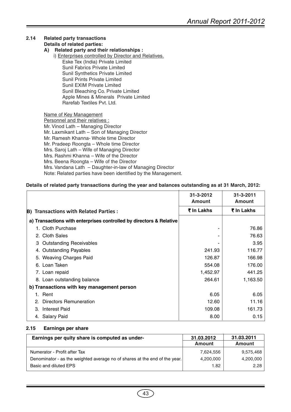# **2.14 Related party transactions Details of related parties:**

# **A) Related party and their relationships :**

i) Enterprises controlled by Director and Relatives. Eske Tex (India) Private Limited Sunil Fabrics Private Limited Sunil Synthetics Private Limited Sunil Prints Private Limited Sunil EXIM Private Limited Sunil Bleaching Co. Private Limited Apple Mines & Minerals Private Limited Rarefab Textiles Pvt. Ltd.

Name of Key Management Personnel and their relatives : Mr. Vinod Lath – Managing Director Mr. Laxmikant Lath – Son of Managing Director Mr. Ramesh Khanna- Whole time Director Mr. Pradeep Roongta – Whole time Director Mrs. Saroj Lath – Wife of Managing Director Mrs. Rashmi Khanna – Wife of the Director Mrs. Beena Roongta – Wife of the Director Mrs. Vandana Lath – Daughter-in-law of Managing Director Note: Related parties have been identified by the Management.

# **Details of related party transactions during the year and balances outstanding as at 31 March, 2012:**

|                                                                     | $31 - 3 - 2012$<br><b>Amount</b> | 31-3-2011<br><b>Amount</b> |
|---------------------------------------------------------------------|----------------------------------|----------------------------|
| <b>B) Transactions with Related Parties:</b>                        | ₹ In Lakhs                       | ₹ In Lakhs                 |
| a) Transactions with enterprises controlled by directors & Relative |                                  |                            |
| 1. Cloth Purchase                                                   |                                  | 76.86                      |
| 2. Cloth Sales                                                      |                                  | 76.63                      |
| <b>Outstanding Receivables</b><br>3                                 |                                  | 3.95                       |
| 4. Outstanding Payables                                             | 241.93                           | 116.77                     |
| 5. Weaving Charges Paid                                             | 126.87                           | 166.98                     |
| 6. Loan Taken                                                       | 554.08                           | 176.00                     |
| 7. Loan repaid                                                      | 1,452.97                         | 441.25                     |
| 8. Loan outstanding balance                                         | 264.61                           | 1,163.50                   |
| b) Transactions with key management person                          |                                  |                            |
| 1. Rent                                                             | 6.05                             | 6.05                       |
| Directors Remuneration<br>$2^{\circ}$                               | 12.60                            | 11.16                      |
| <b>Interest Paid</b><br>3.                                          | 109.08                           | 161.73                     |
| 4. Salary Paid                                                      | 8.00                             | 0.15                       |

# **2.15 Earnings per share**

| Earnings per quity share is computed as under-                             | 31.03.2012    | 31.03.2011    |
|----------------------------------------------------------------------------|---------------|---------------|
|                                                                            | <b>Amount</b> | <b>Amount</b> |
| Numerator - Profit after Tax                                               | 7.624.556     | 9,575,468     |
| Denominator - as the weighted average no of shares at the end of the year. | 4,200,000     | 4,200,000     |
| Basic and diluted EPS                                                      | 1.82          | 2.28          |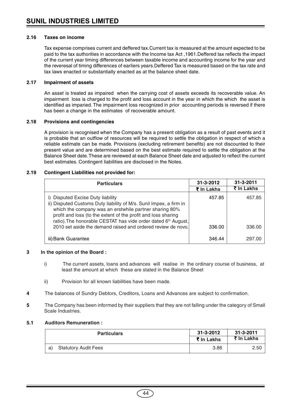# **2.16 Taxes on income**

Tax expense comprises current and deffered tax.Current tax is measured at the amount expected to be paid to the tax authorities in accordance with the Income tax Act ,1961.Deffered tax reflects the impact of the current year timing differences between taxable income and accounting income for the year and the reveresal of timing differences of earliers years.Deffered Tax is measured based on the tax rate and tax laws enacted or substantially enacted as at the balance sheet date.

# **2.17 Impairment of assets**

An asset is treated as impaired when the carrying cost of assets exceeds its recoverable value. An impairment loss is charged to the profit and loss account in the year in which the which the asset is identified as imparied. The impairment loss recognized in prior accounting periods is reversed if there has been a change in the estimates of recoverable amount.

# **2.18 Provisions and contingencies**

A provision is recognised when the Company has a present obligation as a result of past events and it is probable that an outflow of resources will be required to settle the obligation in respect of which a reliable estimate can be made. Provisions (excluding retirement benefits) are not discounted to their present value and are determined based on the best estimate required to settle the obligation at the Balance Sheet date. These are reviewed at each Balance Sheet date and adjusted to reflect the current best estimates. Contingent liabilities are disclosed in the Notes.

# **2.19 Contingent Liabilities not provided for:**

| <b>Particulars</b>                                                                                                                                                                                                                                                                                  | $31 - 3 - 2012$ | $31 - 3 - 2011$ |
|-----------------------------------------------------------------------------------------------------------------------------------------------------------------------------------------------------------------------------------------------------------------------------------------------------|-----------------|-----------------|
|                                                                                                                                                                                                                                                                                                     | ₹ In Lakhs      | ₹ In Lakhs      |
| i) Disputed Excise Duty liability<br>ii) Disputed Customs Duty liability of M/s. Sunil Impex, a firm in<br>which the company was an erstwhile partner sharing 80%<br>profit and loss (to the extent of the profit and loss sharing<br>ratio). The honorable CESTAT has vide order dated 6th August, | 457.85          | 457.85          |
| 2010 set aside the demand raised and ordered review de novo.                                                                                                                                                                                                                                        | 336.00          | 336.00          |
| iii) Bank Guarantee                                                                                                                                                                                                                                                                                 | 346.44          | 297.00          |

# **3 In the opinion of the Board :**

- i) The current assets, loans and advances will realise in the ordinary course of business, at least the amount at which these are stated in the Balance Sheet
- ii) Provision for all known liabilities have been made.
- **4** The balances of Sundry Debtors, Creditors, Loans and Advances are subject to confirmation.
- **5** The Company has been informed by their suppliers that they are not falling under the category of Small Scale Industries.

#### **5.1 Auditors Remuneration :**

| <b>Particulars</b>                | 31-3-2012  | $31 - 3 - 2011$ |  |
|-----------------------------------|------------|-----------------|--|
|                                   | ₹ In Lakhs | ₹ In Lakhs      |  |
| <b>Statutory Audit Fees</b><br>a) | 3.86       | 2.50            |  |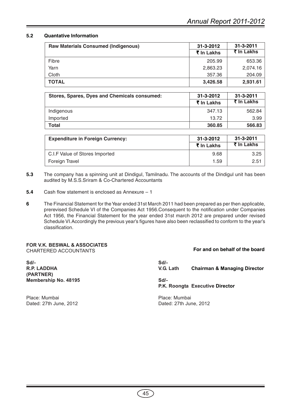# **5.2 Quantative Information**

| <b>Raw Materials Consumed (Indigenous)</b> | $31 - 3 - 2012$ | $31 - 3 - 2011$ |  |  |
|--------------------------------------------|-----------------|-----------------|--|--|
|                                            | ₹ In Lakhs      | ₹ In Lakhs      |  |  |
| Fibre                                      | 205.99          | 653.36          |  |  |
| Yarn                                       | 2,863.23        | 2,074.16        |  |  |
| Cloth                                      | 357.36          | 204.09          |  |  |
| <b>TOTAL</b>                               | 3,426.58        | 2,931.61        |  |  |

| Stores, Spares, Dyes and Chemicals consumed: | 31-3-2012  | $31 - 3 - 2011$ |  |
|----------------------------------------------|------------|-----------------|--|
|                                              | ₹ In Lakhs | ₹ In Lakhs      |  |
| Indigenous                                   | 347.13     | 562.84          |  |
| Imported                                     | 13.72      | 3.99            |  |
| Total                                        | 360.85     | 566.83          |  |

| <b>Expenditure in Foreign Currency:</b> | 31-3-2012<br>₹ In Lakhs | $31 - 3 - 2011$<br>₹ In Lakhs |  |
|-----------------------------------------|-------------------------|-------------------------------|--|
| C.I.F Value of Stores Imported          | 9.68                    | 3.25                          |  |
| Foreign Travel                          | 1.59                    | 2.51                          |  |

- **5.3** The company has a spinning unit at Dindigul, Tamilnadu. The accounts of the Dindigul unit has been audited by M.S.S.Sriram & Co-Chartered Accountants
- **5.4** Cash flow statement is enclosed as Annexure 1
- **6** The Financial Statement for the Year ended 31st March 2011 had been prepared as per then applicable, prerevised Schedule VI of the Companies Act 1956.Consequent to the notification under Companies Act 1956, the Financial Statement for the year ended 31st march 2012 are prepared under revised Schedule VI.Accordingly the previous year's figures have also been reclassified to conform to the year's classification.

# **FOR V.K. BESWAL & ASSOCIATES** CHARTERED ACCOUNTANTS

**Sd/- Sd/- (PARTNER) Membership No. 48195 Sd/-**

Place: Mumbai Place: Mumbai

# **For and on behalf of the board**

**R.P. LADDHA V.G. Lath Chairman & Managing Director**

**P.K. Roongta Executive Director**

Dated: 27th June, 2012 Dated: 27th June, 2012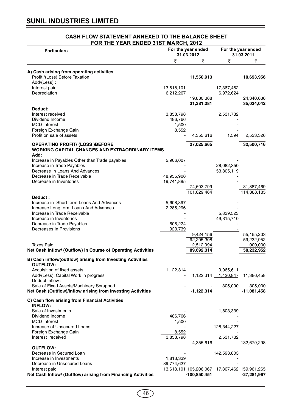| FOR THE YEAR ENDED 31ST MARCH, 2012                                           |                                  |                                               |                                  |                           |
|-------------------------------------------------------------------------------|----------------------------------|-----------------------------------------------|----------------------------------|---------------------------|
| <b>Particulars</b>                                                            | For the year ended<br>31.03.2012 |                                               | For the year ended<br>31.03.2011 |                           |
|                                                                               | ₹                                | ₹                                             | ₹                                | ₹                         |
| A) Cash arising from operating activities                                     |                                  |                                               |                                  |                           |
| Profit /(Loss) Before Taxation                                                |                                  | 11,550,913                                    |                                  | 10,693,956                |
| Add/(Less):                                                                   |                                  |                                               |                                  |                           |
| Interest paid                                                                 | 13,618,101                       |                                               | 17,367,462                       |                           |
| Depreciation                                                                  | 6,212,267                        |                                               | 6,972,624                        |                           |
|                                                                               |                                  | 19,830,368                                    |                                  | 24,340,086                |
| Deduct:                                                                       |                                  | 31,381,281                                    |                                  | 35,034,042                |
| Interest received                                                             | 3,858,798                        |                                               | 2,531,732                        |                           |
| Dividend Income                                                               | 486,766                          |                                               |                                  |                           |
| <b>MCD</b> Interest                                                           | 1,500                            |                                               |                                  |                           |
| Foreign Exchange Gain                                                         | 8,552                            |                                               |                                  |                           |
| Profit on sale of assets                                                      |                                  | 4,355,616                                     | 1,594                            | 2,533,326                 |
| <b>OPERATING PROFIT/ (LOSS )BEFORE</b>                                        |                                  | 27,025,665                                    |                                  | 32,500,716                |
| <b>WORKING CAPITAL CHANGES AND EXTRAORDINARY ITEMS</b>                        |                                  |                                               |                                  |                           |
| Add:                                                                          |                                  |                                               |                                  |                           |
| Increase in Payables Other than Trade payables                                | 5,906,007                        |                                               |                                  |                           |
| Increase in Trade Payables                                                    |                                  |                                               | 28,082,350                       |                           |
| Decrease In Loans And Advances                                                |                                  |                                               | 53,805,119                       |                           |
| Decrease in Trade Receivable                                                  | 48,955,906                       |                                               |                                  |                           |
| Decrease in Inventories                                                       | 19,741,885                       |                                               |                                  |                           |
|                                                                               |                                  | 74,603,799<br>101,629,464                     |                                  | 81,887,469<br>114,388,185 |
| Deduct:                                                                       |                                  |                                               |                                  |                           |
| Increase in Short term Loans And Advances                                     | 5,608,897                        |                                               |                                  |                           |
| Increase Long term Loans And Advances                                         | 2,285,296                        |                                               |                                  |                           |
| Increase in Trade Receivable                                                  |                                  |                                               | 5,839,523                        |                           |
| Increase in Inventories                                                       |                                  |                                               | 49,315,710                       |                           |
| Decrease in Trade Payables                                                    | 606,224                          |                                               |                                  |                           |
| Decreases In Provisions                                                       | 923,739                          | 9,424,156                                     |                                  | 55, 155, 233              |
|                                                                               |                                  | 92,205,308                                    |                                  | 59,232,952                |
| <b>Taxes Paid</b>                                                             |                                  | 2,512,994                                     |                                  | 1,000,000                 |
| Net Cash Inflow/ (Outflow) in Course of Operating Activities                  |                                  | 89,692,314                                    |                                  | 58,232,952                |
|                                                                               |                                  |                                               |                                  |                           |
| B) Cash inflow/(outflow) arising from Investing Activities<br><b>OUTFLOW:</b> |                                  |                                               |                                  |                           |
| Acquisition of fixed assets                                                   | 1,122,314                        |                                               | 9,965,611                        |                           |
| Add/(Less): Capital Work in progress                                          |                                  |                                               | 1,122,314 1,420,847              | 11,386,458                |
| Deduct Inflow:                                                                |                                  |                                               |                                  |                           |
| Sale of Fixed Assets/Machinery Scrapped                                       |                                  |                                               | 305,000                          | 305,000                   |
| Net Cash (Outflow)/Inflow arising from Investing Activities                   |                                  | $-1,122,314$                                  |                                  | $-11,081,458$             |
| C) Cash flow arising from Financial Activities                                |                                  |                                               |                                  |                           |
| <b>INFLOW:</b>                                                                |                                  |                                               |                                  |                           |
| Sale of Investments                                                           |                                  |                                               | 1,803,339                        |                           |
| Dividend Income                                                               | 486,766                          |                                               |                                  |                           |
| <b>MCD</b> Interest                                                           | 1,500                            |                                               |                                  |                           |
| Increase of Unsecured Loans                                                   |                                  |                                               | 128,344,227                      |                           |
| Foreign Exchange Gain                                                         | 8,552                            |                                               |                                  |                           |
| Interest received                                                             | 3,858,798                        | 4,355,616                                     | 2,531,732                        | 132,679,298               |
| <b>OUTFLOW:</b>                                                               |                                  |                                               |                                  |                           |
| Decrease in Secured Loan                                                      |                                  |                                               | 142,593,803                      |                           |
| Increase in Investments                                                       | 1,813,339                        |                                               |                                  |                           |
| Decrease in Unsecured Loans                                                   | 89,774,627                       |                                               |                                  |                           |
| Interest paid                                                                 |                                  | 13,618,101 105,206,067 17,367,462 159,961,265 |                                  |                           |
| Net Cash Inflow/ (Outflow) arising from Financing Activities                  |                                  | $-100,850,451$                                |                                  | $-27,281,967$             |

# **CASH FLOW STATEMENT ANNEXED TO THE BALANCE SHEET**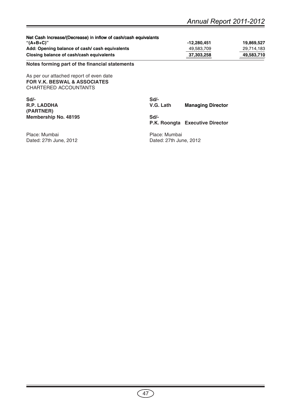| Net Cash Increase/(Decrease) in inflow of cash/cash equivalants                                             |                        |                                 |            |
|-------------------------------------------------------------------------------------------------------------|------------------------|---------------------------------|------------|
| "(A+B+C)"                                                                                                   |                        | $-12,280,451$                   | 19,869,527 |
| Add: Opening balance of cash/ cash equivalents                                                              |                        | 49,583,709                      | 29,714,183 |
| Closing balance of cash/cash equivalents                                                                    |                        | 37,303,258                      | 49,583,710 |
| Notes forming part of the financial statements                                                              |                        |                                 |            |
| As per our attached report of even date<br><b>FOR V.K. BESWAL &amp; ASSOCIATES</b><br>CHARTERED ACCOUNTANTS |                        |                                 |            |
| Sd/-                                                                                                        | $Sd$ -                 |                                 |            |
| R.P. LADDHA<br>(PARTNER)                                                                                    | V.G. Lath              | <b>Managing Director</b>        |            |
| <b>Membership No. 48195</b>                                                                                 | Sd                     |                                 |            |
|                                                                                                             |                        | P.K. Roongta Executive Director |            |
| Place: Mumbai                                                                                               | Place: Mumbai          |                                 |            |
| Dated: 27th June, 2012                                                                                      | Dated: 27th June, 2012 |                                 |            |
|                                                                                                             |                        |                                 |            |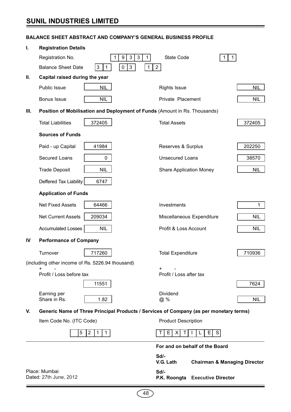# **SUNIL INDUSTRIES LIMITED**

# **BALANCE SHEET ABSTRACT AND COMPANY'S GENERAL BUSINESS PROFILE**

| I.                                      | <b>Registration Details</b>                      |                                                                            |                                                                                        |              |  |  |
|-----------------------------------------|--------------------------------------------------|----------------------------------------------------------------------------|----------------------------------------------------------------------------------------|--------------|--|--|
|                                         | Registration No.                                 | 3<br>$\sqrt{3}$<br>9<br>$\mathbf{1}$<br>1                                  | <b>State Code</b><br>1.                                                                | $\mathbf{1}$ |  |  |
|                                         | <b>Balance Sheet Date</b>                        | $\pmb{0}$<br>$\mathbf{3}$<br>$\mathbf{3}$<br>$\mathbf{1}$<br>$\mathbf{1}$  | $2^{\circ}$                                                                            |              |  |  |
| Ш.                                      | Capital raised during the year                   |                                                                            |                                                                                        |              |  |  |
|                                         | <b>Public Issue</b>                              | <b>NIL</b>                                                                 | <b>Rights Issue</b>                                                                    | <b>NIL</b>   |  |  |
|                                         | Bonus Issue                                      | <b>NIL</b>                                                                 | Private Placement                                                                      | <b>NIL</b>   |  |  |
| Ш.                                      |                                                  | Position of Mobilisation and Deployment of Funds (Amount in Rs. Thousands) |                                                                                        |              |  |  |
|                                         | <b>Total Liabilities</b>                         | 372405                                                                     | <b>Total Assets</b>                                                                    | 372405       |  |  |
|                                         | <b>Sources of Funds</b>                          |                                                                            |                                                                                        |              |  |  |
|                                         | Paid - up Capital                                | 41984                                                                      | Reserves & Surplus                                                                     | 202250       |  |  |
|                                         | Secured Loans                                    | 0                                                                          | <b>Unsecured Loans</b>                                                                 | 38570        |  |  |
|                                         | <b>Trade Deposit</b>                             | <b>NIL</b>                                                                 | <b>Share Application Money</b>                                                         | <b>NIL</b>   |  |  |
|                                         | Deffered Tax Liability                           | 6747                                                                       |                                                                                        |              |  |  |
|                                         | <b>Application of Funds</b>                      |                                                                            |                                                                                        |              |  |  |
|                                         | <b>Net Fixed Assets</b>                          | 64466                                                                      | Investments                                                                            | $\mathbf{1}$ |  |  |
|                                         | <b>Net Current Assets</b>                        | 209034                                                                     | Miscellaneous Expenditure                                                              | <b>NIL</b>   |  |  |
|                                         | <b>Accumulated Losses</b>                        | <b>NIL</b>                                                                 | Profit & Loss Account                                                                  | <b>NIL</b>   |  |  |
| IV                                      | <b>Performance of Company</b>                    |                                                                            |                                                                                        |              |  |  |
|                                         | Turnover                                         | 717260                                                                     | <b>Total Expenditure</b>                                                               | 710936       |  |  |
|                                         | (including other income of Rs. 5226.94 thousand) |                                                                            |                                                                                        |              |  |  |
|                                         | +<br>Profit / Loss before tax                    |                                                                            | $\pm$<br>Profit / Loss after tax                                                       |              |  |  |
|                                         |                                                  | 11551                                                                      |                                                                                        | 7624         |  |  |
|                                         | Earning per<br>Share in Rs.                      | 1.82                                                                       | Dividend<br>@%                                                                         | <b>NIL</b>   |  |  |
| V.                                      |                                                  |                                                                            | Generic Name of Three Principal Products / Services of Company (as per monetary terms) |              |  |  |
|                                         | Item Code No. (ITC Code)                         |                                                                            | <b>Product Description</b>                                                             |              |  |  |
|                                         | 5                                                | $\overline{2}$<br>$\overline{1}$<br>$\mathbf 1$                            | E<br>E.<br>S<br>X<br>T<br>Т<br>L                                                       |              |  |  |
|                                         |                                                  |                                                                            |                                                                                        |              |  |  |
|                                         | For and on behalf of the Board                   |                                                                            |                                                                                        |              |  |  |
| V.G. Lath                               |                                                  |                                                                            | Sd/-<br><b>Chairman &amp; Managing Director</b>                                        |              |  |  |
| Place: Mumbai<br>Dated: 27th June, 2012 |                                                  |                                                                            | Sd/-<br>P.K. Roongta Executive Director                                                |              |  |  |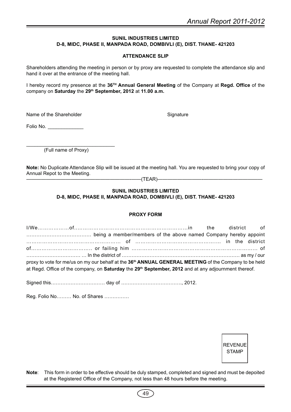# **SUNIL INDUSTRIES LIMITED D-8, MIDC, PHASE II, MANPADA ROAD, DOMBIVLI (E), DIST. THANE- 421203**

# **ATTENDANCE SLIP**

Shareholders attending the meeting in person or by proxy are requested to complete the attendance slip and hand it over at the entrance of the meeting hall.

I hereby record my presence at the **36TH Annual General Meeting** of the Company at **Regd. Office** of the company on **Saturday** the **29th September, 2012** at **11.00 a.m.**

Name of the Shareholder Signature Signature

Folio No. \_\_\_\_\_\_\_\_\_\_\_\_\_

 $\overline{\phantom{a}}$  , where  $\overline{\phantom{a}}$  , where  $\overline{\phantom{a}}$  ,  $\overline{\phantom{a}}$  ,  $\overline{\phantom{a}}$  ,  $\overline{\phantom{a}}$  ,  $\overline{\phantom{a}}$  ,  $\overline{\phantom{a}}$  ,  $\overline{\phantom{a}}$  ,  $\overline{\phantom{a}}$  ,  $\overline{\phantom{a}}$  ,  $\overline{\phantom{a}}$  ,  $\overline{\phantom{a}}$  ,  $\overline{\phantom{a}}$  ,  $\overline{\phantom{a}}$  , (Full name of Proxy)

**Note:** No Duplicate Attendance Slip will be issued at the meeting hall. You are requested to bring your copy of Annual Repot to the Meeting.

—————————————————————-——(TEAR)—————————-————————————

# **SUNIL INDUSTRIES LIMITED D-8, MIDC, PHASE II, MANPADA ROAD, DOMBIVLI (E), DIST. THANE- 421203**

# **PROXY FORM**

| proxy to vote for me/us on my our behalf at the 36 <sup>th</sup> ANNUAL GENERAL MEETING of the Company to be held |  |  |
|-------------------------------------------------------------------------------------------------------------------|--|--|
| at Regd. Office of the company, on Saturday the 29th September, 2012 and at any adjournment thereof.              |  |  |
|                                                                                                                   |  |  |

Signed this…………………………… day of ………………………………., 2012.

Reg. Folio No……… No. of Shares ……………

REVENUE STAMP

**Note**: This form in order to be effective should be duly stamped, completed and signed and must be depoited at the Registered Office of the Company, not less than 48 hours before the meeting.